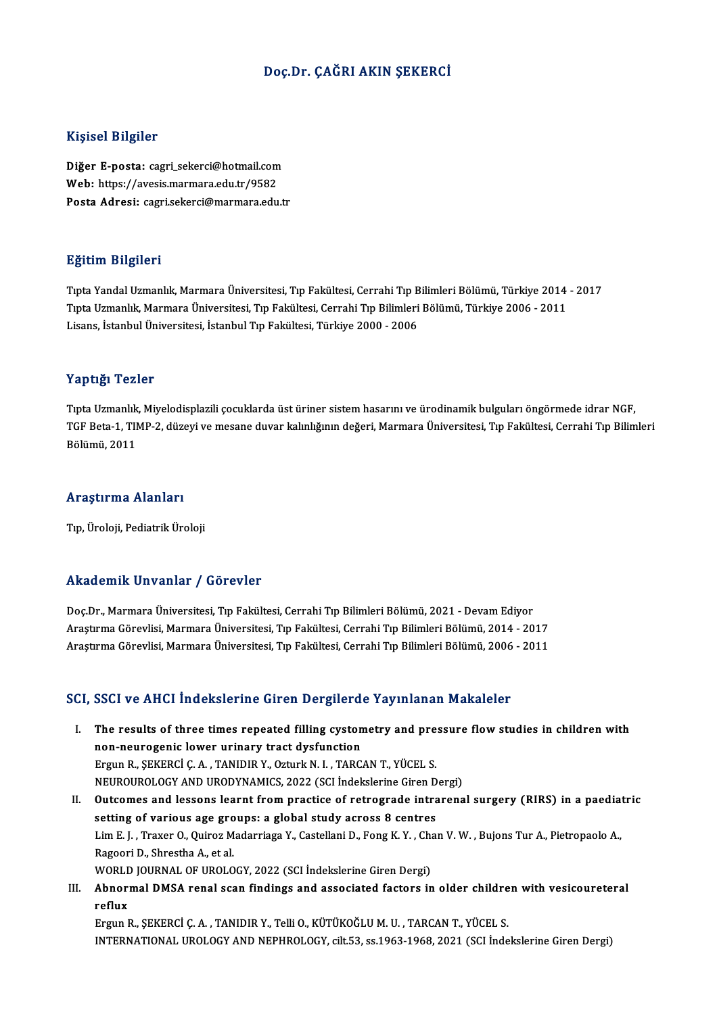#### Doç.Dr. ÇAĞRI AKIN ŞEKERCİ

#### Kişisel Bilgiler

Kişisel Bilgiler<br>Diğer E-posta: cagri\_sekerci@hotmail.com<br>Web: https://avesis.marmara.cdu.tr/9582 mynoor Brighor<br>Diğer E-posta: cagri\_sekerci@hotmail.com<br>Web: https://avesis.marmara.edu.tr/9582<br>Posta Adresi: cagri sekerci@marmara.edu. Web: https://avesis.marmara.edu.tr/9582<br>Posta Adresi: cagri.sekerci@marmara.edu.tr

#### Eğitim Bilgileri

TıptaYandalUzmanlık,MarmaraÜniversitesi,Tıp Fakültesi,CerrahiTıpBilimleriBölümü,Türkiye 2014 -2017 ngistim Dirgirori<br>Tıpta Yandal Uzmanlık, Marmara Üniversitesi, Tıp Fakültesi, Cerrahi Tıp Bilimleri Bölümü, Türkiye 2014<br>Tıpta Uzmanlık, Marmara Üniversitesi, Tıp Fakültesi, Cerrahi Tıp Bilimleri Bölümü, Türkiye 2006 - 201 Tıpta Yandal Uzmanlık, Marmara Üniversitesi, Tıp Fakültesi, Cerrahi Tıp B<br>Tıpta Uzmanlık, Marmara Üniversitesi, Tıp Fakültesi, Cerrahi Tıp Bilimleri<br>Lisans, İstanbul Üniversitesi, İstanbul Tıp Fakültesi, Türkiye 2000 - 200 Lisans, İstanbul Üniversitesi, İstanbul Tıp Fakültesi, Türkiye 2000 - 2006<br>Yaptığı Tezler

Tıpta Uzmanlık, Miyelodisplazili çocuklarda üst üriner sistem hasarını ve ürodinamik bulguları öngörmede idrar NGF, Tüp ergi Telifer<br>Tıpta Uzmanlık, Miyelodisplazili çocuklarda üst üriner sistem hasarını ve ürodinamik bulguları öngörmede idrar NGF,<br>TGF Beta-1, TIMP-2, düzeyi ve mesane duvar kalınlığının değeri, Marmara Üniversitesi, Tıp Tıpta Uzmanlık<br>TGF Beta-1, TII<br>Bölümü, 2011

## Bölümü, 2011<br>Araştırma Alanları

Tıp, Üroloji, Pediatrik Üroloji

#### Akademik Unvanlar / Görevler

Akademik Unvanlar / Görevler<br>Doç.Dr., Marmara Üniversitesi, Tıp Fakültesi, Cerrahi Tıp Bilimleri Bölümü, 2021 - Devam Ediyor<br>Arastuma Görevlisi, Marmara Üniversitesi, Tın Fakültesi, Cerrahi Tın Bilimleri Bölümü, 2014, 20 Arastırma Görevlinisi 7 tast ovud.<br>Doç.Dr., Marmara Üniversitesi, Tıp Fakültesi, Cerrahi Tıp Bilimleri Bölümü, 2021 - Devam Ediyor<br>Araştırma Görevlisi, Marmara Üniversitesi, Tıp Fakültesi, Cerrahi Tıp Bilimleri Bölümü, 201 Araştırma Görevlisi, Marmara Üniversitesi, Tıp Fakültesi, Cerrahi Tıp Bilimleri Bölümü, 2014 - 2017<br>Araştırma Görevlisi, Marmara Üniversitesi, Tıp Fakültesi, Cerrahi Tıp Bilimleri Bölümü, 2006 - 2011

#### SCI, SSCI ve AHCI İndekslerine Giren Dergilerde Yayınlanan Makaleler

- CI, SSCI ve AHCI İndekslerine Giren Dergilerde Yayınlanan Makaleler<br>I. The results of three times repeated filling cystometry and pressure flow studies in children with<br>Rep. payressonis lower urinary tract dysfunction The results of three times repeated filling cystom<br>non-neurogenic lower urinary tract dysfunction<br>Fraun B. SEKERCLC A. TANIDIR V. Orturk N. L. TARC The results of three times repeated filling cystometry and pre<br>non-neurogenic lower urinary tract dysfunction<br>Ergun R., ŞEKERCİ Ç.A., TANIDIR Y., Ozturk N. I., TARCAN T., YÜCEL S.<br>NEUPOUPOLOCY AND UPODYNAMICS 2022 (SCL Ind non-neurogenic lower urinary tract dysfunction<br>Ergun R., ŞEKERCİ Ç. A. , TANIDIR Y., Ozturk N. I. , TARCAN T., YÜCEL S.<br>NEUROUROLOGY AND URODYNAMICS, 2022 (SCI İndekslerine Giren Dergi)<br>Quteomes and lessons learnt from pra Ergun R., ŞEKERCİ Ç. A. , TANIDIR Y., Ozturk N. I. , TARCAN T., YÜCEL S.<br>NEUROUROLOGY AND URODYNAMICS, 2022 (SCI İndekslerine Giren Dergi)<br>II. Outcomes and lessons learnt from practice of retrograde intrarenal surgery (RIR NEUROUROLOGY AND URODYNAMICS, 2022 (SCI indekslerine Giren D<br>Outcomes and lessons learnt from practice of retrograde intra<br>setting of various age groups: a global study across 8 centres<br>Lim E.L. Traver O. Quirez Mederriage
- Outcomes and lessons learnt from practice of retrograde intrarenal surgery (RIRS) in a paediation<br>setting of various age groups: a global study across 8 centres<br>Lim E. J. , Traxer O., Quiroz Madarriaga Y., Castellani D., F setting of various age gro<br>Lim E. J. , Traxer O., Quiroz M<br>Ragoori D., Shrestha A., et al.<br>WOPLD JOUPNAL OF UPOLO Lim E. J. , Traxer O., Quiroz Madarriaga Y., Castellani D., Fong K. Y. , Changoori D., Shrestha A., et al.<br>Ragoori D., Shrestha A., et al.<br>WORLD JOURNAL OF UROLOGY, 2022 (SCI İndekslerine Giren Dergi)<br>Ahnormal DMSA ranal s Ragoori D., Shrestha A., et al.<br>WORLD JOURNAL OF UROLOGY, 2022 (SCI İndekslerine Giren Dergi)<br>III. Abnormal DMSA renal scan findings and associated factors in older children with vesicoureteral<br>Reflux
- WORL<mark><br>Abnor</mark><br>reflux<br>Ergun l Abnormal DMSA renal scan findings and associated factors in older childre<br>reflux<br>Ergun R., ŞEKERCİ Ç. A. , TANIDIR Y., Telli O., KÜTÜKOĞLU M. U. , TARCAN T., YÜCEL S.<br>INTERNATIONAL UROLOGY AND NEBUROLOGY silt 52, 28.1962.1

reflux<br>Ergun R., ŞEKERCİ Ç. A. , TANIDIR Y., Telli O., KÜTÜKOĞLU M. U. , TARCAN T., YÜCEL S.<br>INTERNATIONAL UROLOGY AND NEPHROLOGY, cilt.53, ss.1963-1968, 2021 (SCI İndekslerine Giren Dergi)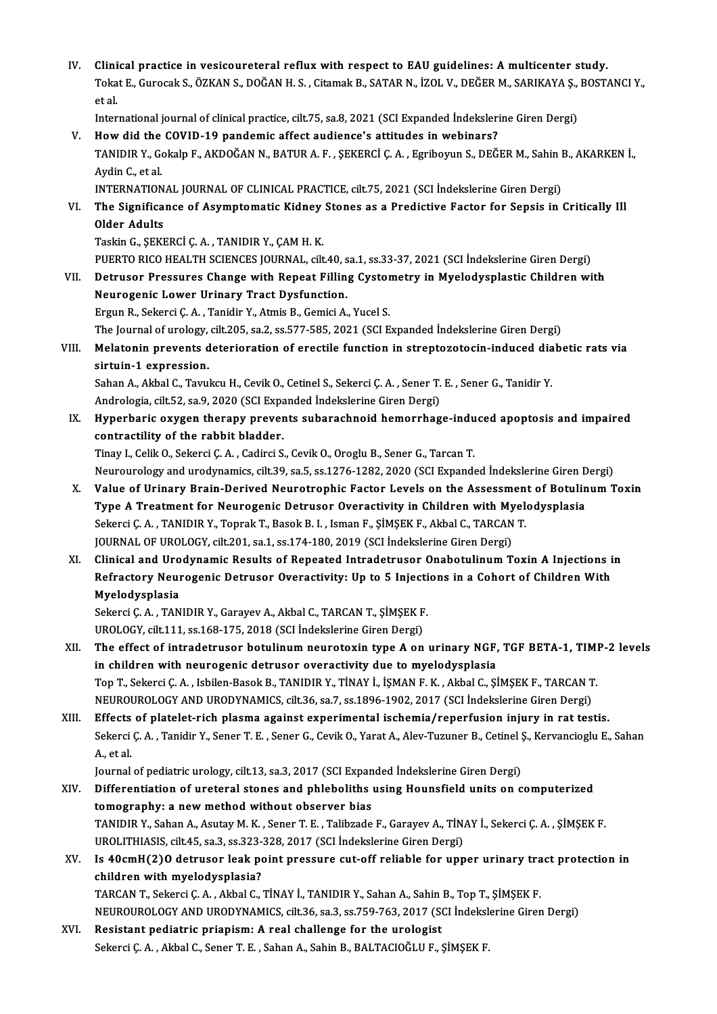- IV. Clinical practice in vesicoureteral reflux with respect to EAU guidelines: A multicenter study.<br>Tekst E Curecek S. ÖZKAN S. DOČAN H.S. Citemek B. SATAR N. İZQL V. DEČER M. SARIKAVA S. POST. Clinical practice in vesicoureteral reflux with respect to EAU guidelines: A multicenter study.<br>Tokat E., Gurocak S., ÖZKAN S., DOĞAN H. S. , Citamak B., SATAR N., İZOL V., DEĞER M., SARIKAYA Ş., BOSTANCI Y Clini<br>Toka<br>et al. Tokat E., Gurocak S., ÖZKAN S., DOĞAN H. S. , Citamak B., SATAR N., İZOL V., DEĞER M., SARIKAYA Ş.,<br>et al.<br>International journal of clinical practice, cilt.75, sa.8, 2021 (SCI Expanded İndekslerine Giren Dergi)<br>How did the
- et al.<br>International journal of clinical practice, cilt.75, sa.8, 2021 (SCI Expanded İndekslerine Giren Dergi)<br>V. How did the COVID-19 pandemic affect audience's attitudes in webinars?
- International journal of clinical practice, cilt.75, sa.8, 2021 (SCI Expanded İndekslerine Giren Dergi)<br>How did the COVID-19 pandemic affect audience's attitudes in webinars?<br>TANIDIR Y., Gokalp F., AKDOĞAN N., BATUR A. F. How did the<br>TANIDIR Y., Go<br>Aydin C., et al.<br>INTERNATION TANIDIR Y., Gokalp F., AKDOĞAN N., BATUR A. F. , ŞEKERCİ Ç. A. , Egriboyun S., DEĞER M., Sahin I<br>Aydin C., et al.<br>INTERNATIONAL JOURNAL OF CLINICAL PRACTICE, cilt.75, 2021 (SCI İndekslerine Giren Dergi)<br>The Significance of
- Aydin C., et al.<br>INTERNATIONAL JOURNAL OF CLINICAL PRACTICE, cilt.75, 2021 (SCI İndekslerine Giren Dergi)<br>VI. The Significance of Asymptomatic Kidney Stones as a Predictive Factor for Sepsis in Critically Il<br>Older Adult **INTERNATION<br>The Significa<br>Older Adults<br>Teckin C. SEKI** The Significance of Asymptomatic Kidney<br>Older Adults<br>Taskin G., ŞEKERCİ Ç. A. , TANIDIR Y., ÇAM H. K.<br>PUEPTO PICO HEALTH SCIENCES JOUPNAL .cilt
	-
	- Older Adults<br>Taskin G., ŞEKERCİ Ç. A. , TANIDIR Y., ÇAM H. K.<br>PUERTO RICO HEALTH SCIENCES JOURNAL, cilt.40, sa.1, ss.33-37, 2021 (SCI İndekslerine Giren Dergi)
- Taskin G., ŞEKERCİ Ç. A. , TANIDIR Y., ÇAM H. K.<br>PUERTO RICO HEALTH SCIENCES JOURNAL, cilt.40, sa.1, ss.33-37, 2021 (SCI İndekslerine Giren Dergi)<br>VII. Detrusor Pressures Change with Repeat Filling Cystometry in Myelod Neurogenic Lower Urinary Tract Dysfunction.<br>Ergun R., Sekerci Ç. A., Tanidir Y., Atmis B., Gemici A., Yucel S. Detrusor Pressures Change with Repeat Filling Cystor<br>Neurogenic Lower Urinary Tract Dysfunction.<br>Ergun R., Sekerci Ç.A., Tanidir Y., Atmis B., Gemici A., Yucel S.<br>The Journal of urology silt 205, 20, 20, 577, 595, 2021, (S
	-
	- The Journal of urology, cilt.205, sa.2, ss.577-585, 2021 (SCI Expanded İndekslerine Giren Dergi)
- Ergun R., Sekerci Ç. A. , Tanidir Y., Atmis B., Gemici A., Yucel S.<br>The Journal of urology, cilt.205, sa.2, ss.577-585, 2021 (SCI Expanded Indekslerine Giren Dergi)<br>VIII. Melatonin prevents deterioration of erectile functi The Journal of urology,<br>Melatonin prevents d<br>sirtuin-1 expression.<br>Saban A. Althal G. Tauru Melatonin prevents deterioration of erectile function in streptozotocin-induced dia<br>sirtuin-1 expression.<br>Sahan A., Akbal C., Tavukcu H., Cevik O., Cetinel S., Sekerci Ç. A. , Sener T. E. , Sener G., Tanidir Y.<br>Andrelagia sirtuin-1 expression.<br>Sahan A., Akbal C., Tavukcu H., Cevik O., Cetinel S., Sekerci Ç. A. , Sener T. E. , Sener G., Tanidir Y.

Andrologia, cilt.52, sa.9, 2020 (SCI Expanded Indekslerine Giren Dergi)

IX. Hyperbaric oxygen therapy prevents subarachnoid hemorrhage-induced apoptosis and impaired

Tinay I., Celik O., Sekerci Ç. A., Cadirci S., Cevik O., Oroglu B., Sener G., Tarcan T. contractility of the rabbit bladder.<br>Tinay I., Celik O., Sekerci Ç. A. , Cadirci S., Cevik O., Oroglu B., Sener G., Tarcan T.<br>Neurourology and urodynamics, cilt.39, sa.5, ss.1276-1282, 2020 (SCI Expanded İndekslerine Giren

- Tinay I., Celik O., Sekerci Ç. A. , Cadirci S., Cevik O., Oroglu B., Sener G., Tarcan T.<br>Neurourology and urodynamics, cilt.39, sa.5, ss.1276-1282, 2020 (SCI Expanded İndekslerine Giren Dergi)<br>X. Value of Urinary Brain-Der Neurourology and urodynamics, cilt.39, sa.5, ss.1276-1282, 2020 (SCI Expanded İndekslerine Giren D<br>Value of Urinary Brain-Derived Neurotrophic Factor Levels on the Assessment of Botulin<br>Type A Treatment for Neurogenic Detr Value of Urinary Brain-Derived Neurotrophic Factor Levels on the Assessmen<br>Type A Treatment for Neurogenic Detrusor Overactivity in Children with Myel<br>Sekerci Ç. A. , TANIDIR Y., Toprak T., Basok B. I. , Isman F., ŞİMŞEK F Type A Treatment for Neurogenic Detrusor Overactivity in Children with Myelodysplasia<br>Sekerci Ç. A. , TANIDIR Y., Toprak T., Basok B. I. , Isman F., ŞİMŞEK F., Akbal C., TARCAN T.<br>JOURNAL OF UROLOGY, cilt.201, sa.1, ss.174 Sekerci Ç. A. , TANIDIR Y., Toprak T., Basok B. I. , Isman F., ŞİMŞEK F., Akbal C., TARCAN T.<br>JOURNAL OF UROLOGY, cilt.201, sa.1, ss.174-180, 2019 (SCI İndekslerine Giren Dergi)<br>XI. Clinical and Urodynamic Results of Repea
- JOURNAL OF UROLOGY, cilt.201, sa.1, ss.174-180, 2019 (SCI İndekslerine Giren Dergi)<br>Clinical and Urodynamic Results of Repeated Intradetrusor Onabotulinum Toxin A Injections i<br>Refractory Neurogenic Detrusor Overactivity: U Clinical and Uro<br>Refractory Neur<br>Myelodysplasia<br>Sekersi C.A. TAN Refractory Neurogenic Detrusor Overactivity: Up to 5 Injecti<br>Myelodysplasia<br>Sekerci Ç. A. , TANIDIR Y., Garayev A., Akbal C., TARCAN T., ŞİMŞEK F.<br>UPOLOCY. Sik 111.98.168.175.2018 (SCL İndekslerine Ciren Dergi)

Myelodysplasia<br>Sekerci Ç. A. , TANIDIR Y., Garayev A., Akbal C., TARCAN T., ŞİMŞEK F<br>UROLOGY, cilt.111, ss.168-175, 2018 (SCI İndekslerine Giren Dergi)<br>The effect of intredatruear betulinum neuneterin tune A. en

- Sekerci Ç. A. , TANIDIR Y., Garayev A., Akbal C., TARCAN T., ŞİMŞEK F.<br>UROLOGY, cilt.111, ss.168-175, 2018 (SCI İndekslerine Giren Dergi)<br>XII. The effect of intradetrusor botulinum neurotoxin type A on urinary NGF, TGF UROLOGY, cilt.111, ss.168-175, 2018 (SCI İndekslerine Giren Dergi)<br>The effect of intradetrusor botulinum neurotoxin type A on urinary NGF,<br>in children with neurogenic detrusor overactivity due to myelodysplasia<br>Ten T. Seka The effect of intradetrusor botulinum neurotoxin type A on urinary NGF, TGF BETA-1, TIMI<br>in children with neurogenic detrusor overactivity due to myelodysplasia<br>Top T., Sekerci Ç.A. , Isbilen-Basok B., TANIDIR Y., TİNAY İ. in children with neurogenic detrusor overactivity due to myelodysplasia<br>Top T., Sekerci Ç. A. , Isbilen-Basok B., TANIDIR Y., TİNAY İ., İŞMAN F. K. , Akbal C., ŞİMŞEK F., TARCAN T.<br>NEUROUROLOGY AND URODYNAMICS, cilt.36, sa Top T., Sekerci Ç. A., Isbilen-Basok B., TANIDIR Y., TİNAY İ., İŞMAN F. K., Akbal C., ŞİMŞEK F., TARCAN T.<br>NEUROUROLOGY AND URODYNAMICS, cilt.36, sa.7, ss.1896-1902, 2017 (SCI İndekslerine Giren Dergi)<br>XIII. Effects of pla
- NEUROUROLOGY AND URODYNAMICS, cilt.36, sa.7, ss.1896-1902, 2017 (SCI İndekslerine Giren Dergi)<br>Effects of platelet-rich plasma against experimental ischemia/reperfusion injury in rat testis.<br>Sekerci Ç. A. , Tanidir Y., Sen Effects<br>Sekerci<br>A., et al.<br>Journal Sekerci Ç. A. , Tanidir Y., Sener T. E. , Sener G., Cevik O., Yarat A., Alev-Tuzuner B., Cetinel S.<br>1965 - Sa.<br>Journal of pediatric urology, cilt.13, sa.3, 2017 (SCI Expanded İndekslerine Giren Dergi)<br>Differentiation of ur

- A., et al.<br>Journal of pediatric urology, cilt.13, sa.3, 2017 (SCI Expanded Indekslerine Giren Dergi)<br>XIV. Differentiation of ureteral stones and phleboliths using Hounsfield units on computerized<br>tomography: a new math Journal of pediatric urology, cilt.13, sa.3, 2017 (SCI Expanding Differentiation of ureteral stones and phleboliths<br>tomography: a new method without observer bias<br>TANIDIR Y, Saban A, Asutay M, K, Sapar T, E, Talibrade Differentiation of ureteral stones and phleboliths using Hounsfield units on computerized<br>tomography: a new method without observer bias<br>TANIDIR Y., Sahan A., Asutay M. K. , Sener T. E. , Talibzade F., Garayev A., TİNAY İ. tomography: a new method without observer bias<br>TANIDIR Y., Sahan A., Asutay M. K. , Sener T. E. , Talibzade F., Garayev A., TİNAY İ., Sekerci C. A. , SİMSEK F XV. Is 40cmH(2)O detrusor leak point pressure cut-off reliable for upper urinary tract protection in UROLITHIASIS, cilt.45, sa.3, ss.323-328, 2017 (SCI Indekslerine Giren Dergi)
- Is 40cmH(2)O detrusor leak point pressure cut-off reliable for upper urinary tra<br>children with myelodysplasia?<br>TARCAN T., Sekerci Ç.A. , Akbal C., TİNAY İ., TANIDIR Y., Sahan A., Sahin B., Top T., ŞİMŞEK F.<br>NEUPOUROLOGY AN children with myelodysplasia?<br>TARCAN T., Sekerci Ç. A. , Akbal C., TİNAY İ., TANIDIR Y., Sahan A., Sahin B., Top T., ŞİMŞEK F.<br>NEUROUROLOGY AND URODYNAMICS, cilt.36, sa.3, ss.759-763, 2017 (SCI İndekslerine Giren Dergi)<br>Re TARCAN T., Sekerci Ç. A., Akbal C., TİNAY İ., TANIDIR Y., Sahan A., Sahin<br>NEUROUROLOGY AND URODYNAMICS, cilt.36, sa.3, ss.759-763, 2017 (State for the urologist<br>XVI. Resistant pediatric priapism: A real challenge for the u
- NEUROUROLOGY AND URODYNAMICS, cilt.36, sa.3, ss.759-763, 2017 (SCI İndekslerine Giren Dergi)<br>Resistant pediatric priapism: A real challenge for the urologist<br>Sekerci Ç.A. , Akbal C., Sener T. E. , Sahan A., Sahin B., BALTA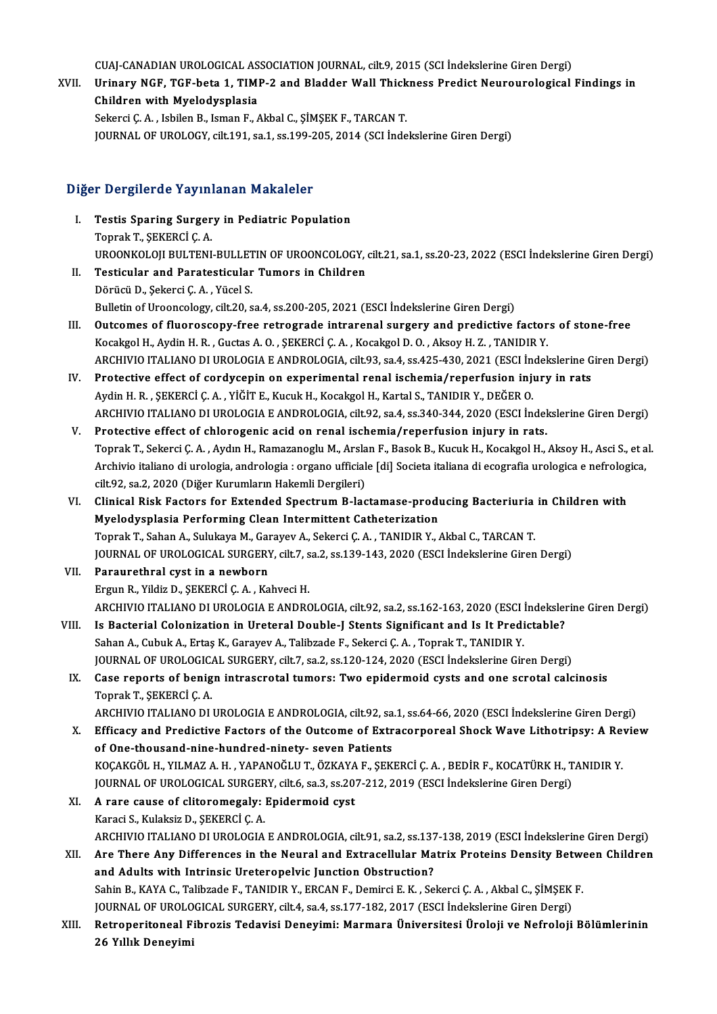CUAJ-CANADIAN UROLOGICAL ASSOCIATION JOURNAL, cilt.9, 2015 (SCI İndekslerine Giren Dergi)<br>Uninouy NGE, TCE hata 1. TIMB 2 and Pladder Wall Thiskness Predist Neurouralegical

CUAJ-CANADIAN UROLOGICAL ASSOCIATION JOURNAL, cilt.9, 2015 (SCI İndekslerine Giren Dergi)<br>XVII. Urinary NGF, TGF-beta 1, TIMP-2 and Bladder Wall Thickness Predict Neurourological Findings in<br>Children with Myelodyaplesi CUAJ-CANADIAN UROLOGICAL AS<br>Urinary NGF, TGF-beta 1, TIMI<br>Children with Myelodysplasia<br>Sekarai C.A. Jabilan B. Jaman E. Urinary NGF, TGF-beta 1, TIMP-2 and Bladder Wall Thick<br>Children with Myelodysplasia<br>Sekerci Ç.A., Isbilen B., Isman F., Akbal C., ŞİMŞEK F., TARCAN T.<br>JOUPMAL OF UPOLOCY, silt 191, 82,1,92,205,2014 (SCLİnde Children with Myelodysplasia<br>Sekerci Ç. A. , Isbilen B., Isman F., Akbal C., ŞİMŞEK F., TARCAN T.<br>JOURNAL OF UROLOGY, cilt.191, sa.1, ss.199-205, 2014 (SCI İndekslerine Giren Dergi)

#### Diğer Dergilerde Yayınlanan Makaleler

- Iger Dergilerde Yayınlanan Makaleler<br>I. Testis Sparing Surgery in Pediatric Population<br>Tonrak T. SEKERCLC A Topraktan Taylor<br>Testis Sparing Surger<br>Toprak T., ŞEKERCİ Ç. A. Toprak T., ŞEKERCİ Ç. A.<br>UROONKOLOJI BULTENI-BULLETIN OF UROONCOLOGY, cilt.21, sa.1, ss.20-23, 2022 (ESCI İndekslerine Giren Dergi) II. Testicular and Paratesticular Tumors in Children
- DörücüD.,ŞekerciÇ.A. ,YücelS. Bulletin of Urooncology, cilt.20, sa.4, ss.200-205, 2021 (ESCI İndekslerine Giren Dergi)
- III. Outcomes of fluoroscopy-free retrograde intrarenal surgery and predictive factors of stone-free Kocakgol H., Aydin H.R., Guctas A.O., ŞEKERCİ Ç.A., Kocakgol D.O., Aksoy H.Z., TANIDIR Y. Outcomes of fluoroscopy-free retrograde intrarenal surgery and predictive factors of stone-free<br>Kocakgol H., Aydin H. R. , Guctas A. O. , ŞEKERCİ Ç. A. , Kocakgol D. O. , Aksoy H. Z. , TANIDIR Y.<br>ARCHIVIO ITALIANO DI UROLO Kocakgol H., Aydin H. R., Guctas A. O., ŞEKERCİ Ç. A., Kocakgol D. O., Aksoy H. Z., TANIDIR Y.<br>ARCHIVIO ITALIANO DI UROLOGIA E ANDROLOGIA, cilt.93, sa.4, ss.425-430, 2021 (ESCI İndekslerine G<br>IV. Protective effect of cordy
- ARCHIVIO ITALIANO DI UROLOGIA E ANDROLOGIA, cilt.93, sa.4, ss.425-430, 2021 (ESCI İn Protective effect of cordycepin on experimental renal ischemia/reperfusion inju<br>Aydin H. R. , ŞEKERCİ Ç. A. , YİĞİT E., Kucuk H., Kocakgo IV. Protective effect of cordycepin on experimental renal ischemia/reperfusion injury in rats<br>Aydin H. R. , ŞEKERCİ Ç. A. , YİĞİT E., Kucuk H., Kocakgol H., Kartal S., TANIDIR Y., DEĞER O.<br>ARCHIVIO ITALIANO DI UROLOGIA E A
- V. Protective effect of chlorogenic acid on renal ischemia/reperfusion injury in rats. Toprak T., Sekerci Ç.A., Aydın H., Ramazanoglu M., Arslan F., Basok B., Kucuk H., Kocakgol H., Aksoy H., Asci S., et al. Protective effect of chlorogenic acid on renal ischemia/reperfusion injury in rats.<br>Toprak T., Sekerci Ç. A. , Aydın H., Ramazanoglu M., Arslan F., Basok B., Kucuk H., Kocakgol H., Aksoy H., Asci S., et a<br>Archivio italiano Toprak T., Sekerci Ç. A. , Aydın H., Ramazanoglu M., Arsla<br>Archivio italiano di urologia, andrologia : organo ufficial<br>cilt.92, sa.2, 2020 (Diğer Kurumların Hakemli Dergileri)<br>Clinisal Bisk Fastars for Eytandod Spestrum B. Archivio italiano di urologia, andrologia : organo ufficiale [di] Societa italiana di ecografia urologica e nefrolog<br>cilt.92, sa.2, 2020 (Diğer Kurumların Hakemli Dergileri)<br>VI. Clinical Risk Factors for Extended Spectrum
- cilt.92, sa.2, 2020 (Diğer Kurumların Hakemli Dergileri)<br>Clinical Risk Factors for Extended Spectrum B-lactamase-produ<br>Myelodysplasia Performing Clean Intermittent Catheterization<br>Tenrek T. Saban A. Sulukaya M. Carayay A. Clinical Risk Factors for Extended Spectrum B-lactamase-producing Bacteriuria<br>Myelodysplasia Performing Clean Intermittent Catheterization<br>Toprak T., Sahan A., Sulukaya M., Garayev A., Sekerci Ç. A. , TANIDIR Y., Akbal C., Myelodysplasia Performing Clean Intermittent Catheterization<br>Toprak T., Sahan A., Sulukaya M., Garayev A., Sekerci Ç. A. , TANIDIR Y., Akbal C., TARCAN T.<br>JOURNAL OF UROLOGICAL SURGERY, cilt.7, sa.2, ss.139-143, 2020 (ESCI Toprak T., Sahan A., Sulukaya M., Garayev A., Sekerci Ç. A. , TANIDIR Y., Akbal C., TARCAN T.<br>JOURNAL OF UROLOGICAL SURGERY, cilt.7, sa.2, ss.139-143, 2020 (ESCI İndekslerine Giren<br>VII. Paraurethral cyst in a newborn<br>Ergun
- FOURNAL OF UROLOGICAL SURGERY, cilt.7, s<br>Paraurethral cyst in a newborn<br>Ergun R., Yildiz D., ŞEKERCİ Ç. A. , Kahveci H.<br>ARCHIVIO ITALIANO DI UROLOGIA E ANDRO Paraurethral cyst in a newborn<br>Ergun R., Yildiz D., ŞEKERCİ Ç. A. , Kahveci H.<br>ARCHIVIO ITALIANO DI UROLOGIA E ANDROLOGIA, cilt.92, sa.2, ss.162-163, 2020 (ESCI İndekslerine Giren Dergi)<br>Is Bastarial Colonization in Unstan
- VIII. Is Bacterial Colonization in Ureteral Double-J Stents Significant and Is It Predictable?<br>Sahan A., Cubuk A., Ertaş K., Garayev A., Talibzade F., Sekerci Ç. A., Toprak T., TANIDIR Y. ARCHIVIO ITALIANO DI UROLOGIA E ANDROLOGIA, cilt.92, sa.2, ss.162-163, 2020 (ESCI)<br>Is Bacterial Colonization in Ureteral Double-J Stents Significant and Is It Predi<br>Sahan A., Cubuk A., Ertaş K., Garayev A., Talibzade F., S JOURNAL OF UROLOGICAL SURGERY, cilt.7, sa.2, ss.120-124, 2020 (ESCI İndekslerine Giren Dergi) Sahan A., Cubuk A., Ertaş K., Garayev A., Talibzade F., Sekerci Ç. A. , Toprak T., TANIDIR Y.<br>JOURNAL OF UROLOGICAL SURGERY, cilt.7, sa.2, ss.120-124, 2020 (ESCI İndekslerine Giren Dergi)<br>IX. Case reports of benign intrasc
	- JOURNAL OF UROLOGIC<mark>.</mark><br>Case reports of benig<br>Toprak T., ŞEKERCİ Ç. A.<br>ARCHIVIO ITALIANO DI Case reports of benign intrascrotal tumors: Two epidermoid cysts and one scrotal calcinosis<br>Toprak T., ŞEKERCİ Ç. A.<br>ARCHIVIO ITALIANO DI UROLOGIA E ANDROLOGIA, cilt.92, sa.1, ss.64-66, 2020 (ESCI İndekslerine Giren Dergi)

- Toprak T., ŞEKERCİ Ç. A.<br>ARCHIVIO ITALIANO DI UROLOGIA E ANDROLOGIA, cilt.92, sa.1, ss.64-66, 2020 (ESCI İndekslerine Giren Dergi)<br>X. Efficacy and Predictive Factors of the Outcome of Extracorporeal Shock Wave Lithotripsy: ARCHIVIO ITALIANO DI UROLOGIA E ANDROLOGIA, cilt92, sa<br>Efficacy and Predictive Factors of the Outcome of Extr<br>of One-thousand-nine-hundred-ninety- seven Patients<br>YOCAYCÖL H. VILMAZ A H. YARANOČLUT, ÖZYAYA E. SEV of One-thousand-nine-hundred-ninety- seven Patients<br>KOÇAKGÖL H., YILMAZ A. H. , YAPANOĞLU T., ÖZKAYA F., ŞEKERCİ Ç. A. , BEDİR F., KOCATÜRK H., TANIDIR Y. of One-thousand-nine-hundred-ninety- seven Patients<br>KOÇAKGÖL H., YILMAZ A. H. , YAPANOĞLU T., ÖZKAYA F., ŞEKERCİ Ç. A. , BEDİR F., KOCATÜRK H., T<br>JOURNAL OF UROLOGICAL SURGERY, cilt.6, sa.3, ss.207-212, 2019 (ESCI İndeksle KOÇAKGÖL H., YILMAZ A. H., YAPANOĞLU T., ÖZKAYA<br>JOURNAL OF UROLOGICAL SURGERY, cilt.6, sa.3, ss.20<br>XI. A rare cause of clitoromegaly: Epidermoid cyst<br>Kanaci S. Kulaksin D. SEKERCİ C. A
- **JOURNAL OF UROLOGICAL SURGER<br>A rare cause of clitoromegaly:**<br>Karaci S., Kulaksiz D., ŞEKERCİ Ç. A.<br>ARCHIVIQ ITALIANO DI UROLOGIA A rare cause of clitoromegaly: Epidermoid cyst<br>Karaci S., Kulaksiz D., ŞEKERCİ Ç. A.<br>ARCHIVIO ITALIANO DI UROLOGIA E ANDROLOGIA, cilt.91, sa.2, ss.137-138, 2019 (ESCI İndekslerine Giren Dergi)<br>Are There Any Differences in Karaci S., Kulaksiz D., ŞEKERCİ Ç. A.<br>ARCHIVIO ITALIANO DI UROLOGIA E ANDROLOGIA, cilt.91, sa.2, ss.137-138, 2019 (ESCI İndekslerine Giren Dergi)<br>XII. Are There Any Differences in the Neural and Extracellular Matrix Pr
- ARCHIVIO ITALIANO DI UROLOGIA E ANDROLOGIA, cilt.91, sa.2, ss.137<br>Are There Any Differences in the Neural and Extracellular Ma<br>and Adults with Intrinsic Ureteropelvic Junction Obstruction?<br>Sabin B. KAYA G. Talibrade E. TAN Are There Any Differences in the Neural and Extracellular Matrix Proteins Density Between Children<br>and Adults with Intrinsic Ureteropelvic Junction Obstruction?<br>Sahin B., KAYA C., Talibzade F., TANIDIR Y., ERCAN F., Demirc and Adults with Intrinsic Ureteropelvic Junction Obstruction?<br>Sahin B., KAYA C., Talibzade F., TANIDIR Y., ERCAN F., Demirci E. K. , Sekerci Ç. A. , Akbal C., ŞİMŞEK<br>JOURNAL OF UROLOGICAL SURGERY, cilt.4, sa.4, ss.177-182,
- XIII. Retroperitoneal Fibrozis Tedavisi Deneyimi: Marmara Üniversitesi Üroloji ve Nefroloji Bölümlerinin<br>26 Yıllık Deneyimi JOURNAL OF UROLO<br>Retroperitoneal F<br>26 Yıllık Deneyimi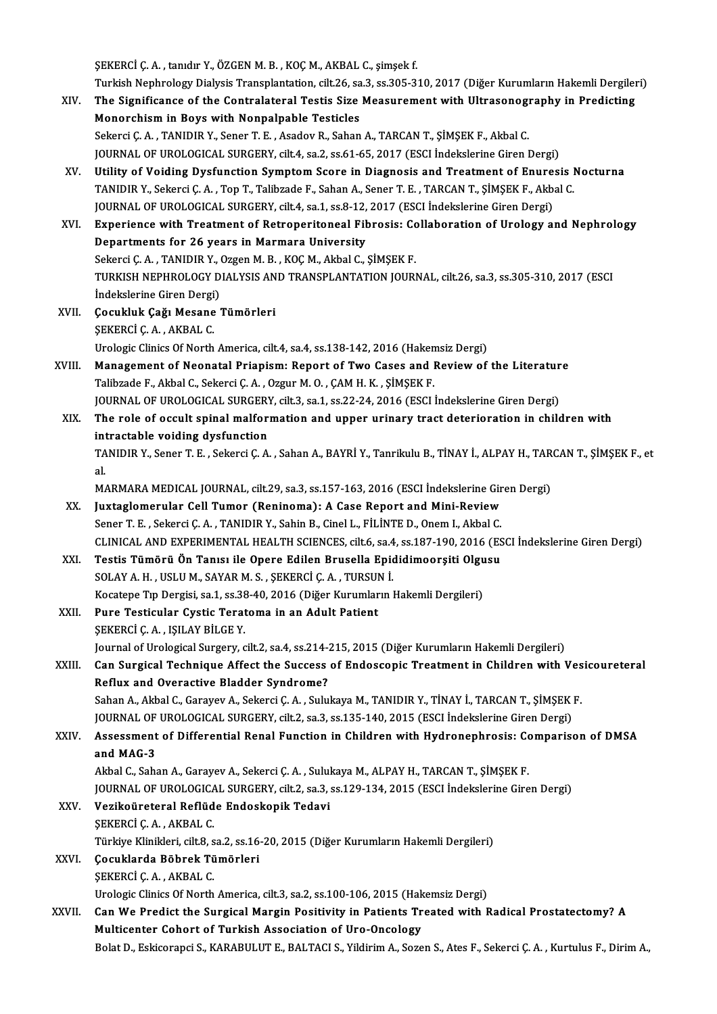ŞEKERCİ Ç. A., tanıdır Y., ÖZGEN M. B., KOÇ M., AKBAL C., şimşek f. ŞEKERCİ Ç. A. , tanıdır Y., ÖZGEN M. B. , KOÇ M., AKBAL C., şimşek f.<br>Turkish Nephrology Dialysis Transplantation, cilt.26, sa.3, ss.305-310, 2017 (Diğer Kurumların Hakemli Dergileri)<br>The Significanee of the Contrelateral

- SEKERCİ Ç. A. , tanıdır Y., ÖZGEN M. B. , KOÇ M., AKBAL C., şimşek f.<br>Turkish Nephrology Dialysis Transplantation, cilt.26, sa.3, ss.305-310, 2017 (Diğer Kurumların Hakemli Dergiler<br>XIV. The Significance of the Contral Turkish Nephrology Dialysis Transplantation, cilt.26, sa<br>The Significance of the Contralateral Testis Size<br>Monorchism in Boys with Nonpalpable Testicles<br>Sekarai C.A. TANIDIB V. Seper T.E. Ageday B. Seban The Significance of the Contralateral Testis Size Measurement with Ultrasonogi<br>Monorchism in Boys with Nonpalpable Testicles<br>Sekerci Ç.A. , TANIDIR Y., Sener T. E. , Asadov R., Sahan A., TARCAN T., ŞİMŞEK F., Akbal C.<br>JOUP Monorchism in Boys with Nonpalpable Testicles<br>Sekerci Ç. A. , TANIDIR Y., Sener T. E. , Asadov R., Sahan A., TARCAN T., ŞİMŞEK F., Akbal C.<br>JOURNAL OF UROLOGICAL SURGERY, cilt.4, sa.2, ss.61-65, 2017 (ESCI İndekslerine Gir Sekerci Ç. A. , TANIDIR Y., Sener T. E. , Asadov R., Sahan A., TARCAN T., ŞİMŞEK F., Akbal C.<br>JOURNAL OF UROLOGICAL SURGERY, cilt4, sa.2, ss.61-65, 2017 (ESCI İndekslerine Giren Dergi)<br>XV. Utility of Voiding Dysfunction Sy
- JOURNAL OF UROLOGICAL SURGERY, cilt.4, sa.2, ss.61-65, 2017 (ESCI İndekslerine Giren Dergi)<br>Utility of Voiding Dysfunction Symptom Score in Diagnosis and Treatment of Enuresis I<br>TANIDIR Y., Sekerci Ç. A. , Top T., Talibzad Utility of Voiding Dysfunction Symptom Score in Diagnosis and Treatment of Enure:<br>TANIDIR Y., Sekerci Ç. A. , Top T., Talibzade F., Sahan A., Sener T. E. , TARCAN T., ŞİMŞEK F., Akb.<br>JOURNAL OF UROLOGICAL SURGERY, cilt.4, TANIDIR Y., Sekerci Ç. A. , Top T., Talibzade F., Sahan A., Sener T. E. , TARCAN T., ŞİMŞEK F., Akbal C.<br>JOURNAL OF UROLOGICAL SURGERY, cilt.4, sa.1, ss.8-12, 2017 (ESCI İndekslerine Giren Dergi)<br>XVI. Experience with Treat
- JOURNAL OF UROLOGICAL SURGERY, cilt.4, sa.1, ss.8-12,<br>Experience with Treatment of Retroperitoneal Fil<br>Departments for 26 years in Marmara University<br>Sekersi C.A., TANIDIP Y. Organ M.B., KOC M. Akbal C. Experience with Treatment of Retroperitoneal Fibrosis: Co<br>Departments for 26 years in Marmara University<br>Sekerci Ç.A. , TANIDIR Y., Ozgen M. B. , KOÇ M., Akbal C., ŞİMŞEK F.<br>TURKISH NERHROLOCY DIALYSIS AND TRANSPLANTATION Departments for 26 years in Marmara University<br>Sekerci Ç. A. , TANIDIR Y., Ozgen M. B. , KOÇ M., Akbal C., ŞİMŞEK F.<br>TURKISH NEPHROLOGY DIALYSIS AND TRANSPLANTATION JOURNAL, cilt.26, sa.3, ss.305-310, 2017 (ESCI Sekerci Ç. A. , TANIDIR Y., O<br>TURKISH NEPHROLOGY D<br>İndekslerine Giren Dergi)<br>Cosukluk Coğu Mosano
- XVII. Çocukluk Çağı Mesane Tümörleri<br>ŞEKERCİ Ç. A., AKBAL C. İndekslerine Giren Dergi<br>Çocukluk Çağı Mesane<br>ŞEKERCİ Ç. A. , AKBAL C.<br>Urelagia Clinice Of Narth Urologic Clinics Of North America, cilt.4, sa.4, ss.138-142, 2016 (Hakemsiz Dergi) SEKERCI C. A., AKBAL C.<br>Urologic Clinics Of North America, cilt.4, sa.4, ss.138-142, 2016 (Hakemsiz Dergi)<br>XVIII. Management of Neonatal Priapism: Report of Two Cases and Review of the Literature
- Urologic Clinics Of North America, cilt.4, sa.4, ss.138-142, 2016 (Haken<br>Management of Neonatal Priapism: Report of Two Cases and I<br>Talibzade F., Akbal C., Sekerci Ç. A. , Ozgur M. O. , ÇAM H. K. , ŞİMŞEK F.<br>JOUPMAL OF UPO Management of Neonatal Priapism: Report of Two Cases and Review of the Literatur<br>Talibzade F., Akbal C., Sekerci Ç. A. , Ozgur M. O. , ÇAM H. K. , ŞİMŞEK F.<br>JOURNAL OF UROLOGICAL SURGERY, cilt.3, sa.1, ss.22-24, 2016 (ESCI Talibzade F., Akbal C., Sekerci Ç. A. , Ozgur M. O. , ÇAM H. K. , ŞİMŞEK F.<br>JOURNAL OF UROLOGICAL SURGERY, cilt.3, sa.1, ss.22-24, 2016 (ESCI İndekslerine Giren Dergi)<br>XIX. The role of occult spinal malformation and upper JOURNAL OF UROLOGICAL SURGERY, cilt.3, sa.1, ss.22-24, 2016 (ESCI Indekslerine Giren Dergi)
- The role of occult spinal malformation and upper urinary tract deterioration in children with<br>intractable voiding dysfunction<br>TANIDIR Y., Sener T. E. , Sekerci Ç. A. , Sahan A., BAYRİ Y., Tanrikulu B., TİNAY İ., ALPAY H., int<br>TA<br>al TANIDIR Y., Sener T. E. , Sekerci Ç. A. , Sahan A., BAYRİ Y., Tanrikulu B., TİNAY İ., ALPAY H., TAR<br>al.<br>MARMARA MEDICAL JOURNAL, cilt.29, sa.3, ss.157-163, 2016 (ESCI İndekslerine Giren Dergi)<br>Juytaglamarular Call Tumar (B

- al.<br>MARMARA MEDICAL JOURNAL, cilt.29, sa.3, ss.157-163, 2016 (ESCI İndekslerine Gir<br>XX. Juxtaglomerular Cell Tumor (Reninoma): A Case Report and Mini-Review<br>Sener T. E. Sekersi C. A. TANIDIR V. Sebin B. Cinel L. Ell İNTE D MARMARA MEDICAL JOURNAL, cilt.29, sa.3, ss.157-163, 2016 (ESCI İndekslerine Gir<br>Juxtaglomerular Cell Tumor (Reninoma): A Case Report and Mini-Review<br>Sener T. E. , Sekerci Ç. A. , TANIDIR Y., Sahin B., Cinel L., FİLİNTE D., Sener T. E. , Sekerci Ç. A. , TANIDIR Y., Sahin B., Cinel L., FİLİNTE D., Onem I., Akbal C.<br>CLINICAL AND EXPERIMENTAL HEALTH SCIENCES, cilt.6, sa.4, ss.187-190, 2016 (ESCI İndekslerine Giren Dergi) Sener T. E., Sekerci Ç. A., TANIDIR Y., Sahin B., Cinel L., FİLİNTE D., Onem I., Akbal C.<br>CLINICAL AND EXPERIMENTAL HEALTH SCIENCES, cilt.6, sa.4, ss.187-190, 2016 (ES<br>XXI. Testis Tümörü Ön Tanısı ile Opere Edilen Brusella
- CLINICAL AND EXPERIMENTAL HEALTH SCIENCES, cilt.6, sa.4<br>Testis Tümörü Ön Tanısı ile Opere Edilen Brusella Epic<br>SOLAY A. H. , USLU M., SAYAR M. S. , ŞEKERCİ Ç. A. , TURSUN İ.<br>Kestiana Tın Dargisi sa.1, sa.28,40, 2016 (Diğar Testis Tümörü Ön Tanısı ile Opere Edilen Brusella Epididimoorşiti Olgu<br>SOLAY A. H. , USLU M., SAYAR M. S. , ŞEKERCİ Ç. A. , TURSUN İ.<br>Kocatepe Tıp Dergisi, sa.1, ss.38-40, 2016 (Diğer Kurumların Hakemli Dergileri)<br>Puna Tes SOLAY A. H., USLU M., SAYAR M. S., ŞEKERCİ Ç. A., TURSUI<br>Kocatepe Tıp Dergisi, sa.1, ss.38-40, 2016 (Diğer Kurumlar<br>XXII. Pure Testicular Cystic Teratoma in an Adult Patient<br>SEKERCİ C. A., ISII AV BİLCE V.
- Kocatepe Tıp Dergisi, sa.1, ss.38<br>Pure Testicular Cystic Terat<br>ŞEKERCİ Ç. A. , IŞILAY BİLGE Y.<br>Journal of Urologiaal Surgoru, q ŞEKERCİ Ç. A. , IŞILAY BİLGE Y.<br>Journal of Urological Surgery, cilt.2, sa.4, ss.214-215, 2015 (Diğer Kurumların Hakemli Dergileri)
- SEKERCİ Ç. A. , IŞILAY BİLGE Y.<br>Journal of Urological Surgery, cilt.2, sa.4, ss.214-215, 2015 (Diğer Kurumların Hakemli Dergileri)<br>XXIII. Can Surgical Technique Affect the Success of Endoscopic Treatment in Children wi Journal of Urological Surgery, cilt.2, sa.4, ss.214-2<br>Can Surgical Technique Affect the Success<br>Reflux and Overactive Bladder Syndrome?<br>Saban A. Althal G. Garayay A. Sakargi G. A., Sulu Can Surgical Technique Affect the Success of Endoscopic Treatment in Children with Ves<br>Reflux and Overactive Bladder Syndrome?<br>Sahan A., Akbal C., Garayev A., Sekerci Ç. A. , Sulukaya M., TANIDIR Y., TİNAY İ., TARCAN T., Ş Reflux and Overactive Bladder Syndrome?<br>Sahan A., Akbal C., Garayev A., Sekerci Ç. A. , Sulukaya M., TANIDIR Y., TİNAY İ., TARCAN T., ŞİMŞEK<br>JOURNAL OF UROLOGICAL SURGERY, cilt.2, sa.3, ss.135-140, 2015 (ESCI İndekslerine

Sahan A., Akbal C., Garayev A., Sekerci Ç. A. , Sulukaya M., TANIDIR Y., TİNAY İ., TARCAN T., ŞİMŞEK F.<br>JOURNAL OF UROLOGICAL SURGERY, cilt.2, sa.3, ss.135-140, 2015 (ESCI İndekslerine Giren Dergi)<br>XXIV. Assessment of **JOURNAL OF<br>Assessment<br>and MAG-3** 

Akbal C., Sahan A., Garayev A., Sekerci Ç. A., Sulukaya M., ALPAY H., TARCAN T., ŞİMŞEK F. and MAG-3<br>Akbal C., Sahan A., Garayev A., Sekerci Ç. A. , Sulukaya M., ALPAY H., TARCAN T., ŞİMŞEK F.<br>JOURNAL OF UROLOGICAL SURGERY, cilt.2, sa.3, ss.129-134, 2015 (ESCI İndekslerine Giren Dergi)<br>Verikoğrataral Beflüde End

- XXV. Vezikoüreteral Reflüde Endoskopik Tedavi JOURNAL OF UROLOGICA<br>Vezikoüreteral Reflüd<br>ŞEKERCİ Ç. A. , AKBAL C.<br>Türkiye Klinikleri, çik 2, ç
	-

Türkiye Klinikleri, cilt.8, sa.2, ss.16-20, 2015 (Diğer Kurumların Hakemli Dergileri)

#### XXVI. Çocuklarda Böbrek Tümörleri

ŞEKERCİÇ.A. ,AKBAL C.

Çocuklarda Böbrek Tümörleri<br>ŞEKERCİ Ç. A. , AKBAL C.<br>Urologic Clinics Of North America, cilt.3, sa.2, ss.100-106, 2015 (Hakemsiz Dergi)<br>Can We Predist the Surgicel Margin Bositivity in Petients Treated with E

#### XXVII. Can We Predict the Surgical Margin Positivity in Patients Treated with Radical Prostatectomy? A<br>Multicenter Cohort of Turkish Association of Uro-Oncology Urologic Clinics Of North America, cilt.3, sa.2, ss.100-106, 2015 (Hak<br>Can We Predict the Surgical Margin Positivity in Patients Tr<br>Multicenter Cohort of Turkish Association of Uro-Oncology<br>Rolst D. Eskisenanci S. KARAPULU Bolat D., Eskicorapci S., KARABULUT E., BALTACI S., Yildirim A., Sozen S., Ates F., Sekerci Ç. A., Kurtulus F., Dirim A.,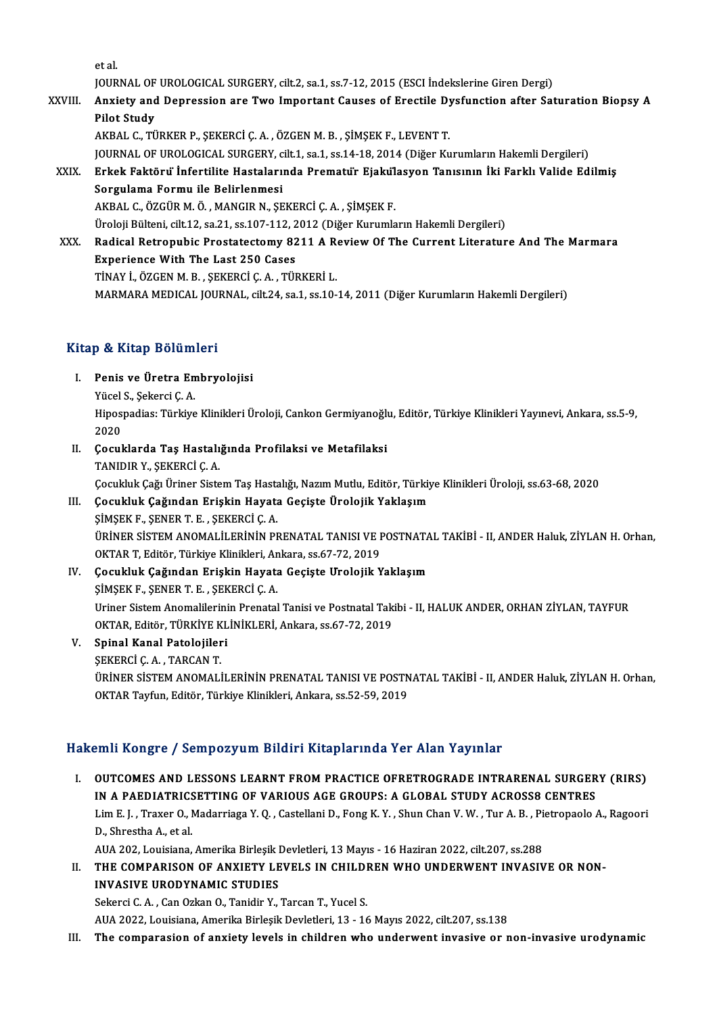etal.

et al.<br>JOURNAL OF UROLOGICAL SURGERY, cilt.2, sa.1, ss.7-12, 2015 (ESCI İndekslerine Giren Dergi)<br>Anviety and Dennessian are Twe Impertant Causes of Enastile Dysfunction ofter Set

XXVIII. Anxiety and Depression are Two Important Causes of Erectile Dysfunction after Saturation Biopsy A<br>Pilot Study **JOURNAL OF<br>Anxiety and<br>Pilot Study** 

AKBAL C., TÜRKER P., ŞEKERCİ Ç. A., ÖZGEN M. B., ŞİMŞEK F., LEVENT T.

JOURNAL OF UROLOGICAL SURGERY, cilt.1, sa.1, ss.14-18, 2014 (Diğer Kurumların Hakemli Dergileri)

AKBAL C., TÜRKER P., ŞEKERCİ Ç. A. , ÖZGEN M. B. , ŞİMŞEK F., LEVENT T.<br>JOURNAL OF UROLOGICAL SURGERY, cilt.1, sa.1, ss.14-18, 2014 (Diğer Kurumların Hakemli Dergileri)<br>XXIX. Erkek Faktörü İnfertilite Hastalarında Prem JOURNAL OF UROLOGICAL SURGERY, c<br>Erkek Faktöru Infertilite Hastaları<br>Sorgulama Formu ile Belirlenmesi<br>AKRAL C. ÖZCÜR M. Ö. MANCIR N. SE Erkek Faktöru İnfertilite Hastalarında Prematur Ejakul<br>Sorgulama Formu ile Belirlenmesi<br>AKBAL C., ÖZGÜR M. Ö. , MANGIR N., ŞEKERCİ Ç. A. , ŞİMŞEK F.<br>Üreleji Bültoni çilt 12, çe 21, çe 107,112, 2012 (Diğer Kurumla Sorgulama Formu ile Belirlenmesi<br>AKBAL C., ÖZGÜR M. Ö. , MANGIR N., ŞEKERCİ Ç. A. , ŞİMŞEK F.<br>Üroloji Bülteni, cilt.12, sa.21, ss.107-112, 2012 (Diğer Kurumların Hakemli Dergileri)<br>Badisal Betronubis Brostatastamu 8211 A B

AKBAL C., ÖZGÜR M. Ö. , MANGIR N., ŞEKERCİ Ç. A. , ŞİMŞEK F.<br>Üroloji Bülteni, cilt.12, sa.21, ss.107-112, 2012 (Diğer Kurumların Hakemli Dergileri)<br>XXX. Radical Retropubic Prostatectomy 8211 A Review Of The Current Lit Üroloji Bülteni, cilt.12, sa.21, ss.107-112, 2<br>Radical Retropubic Prostatectomy 82<br>Experience With The Last 250 Cases<br>TinAV LÖZCEN M. B. SEVERCLC A. TÜL Radical Retropubic Prostatectomy 8211 A R<br>Experience With The Last 250 Cases<br>TİNAY İ., ÖZGEN M. B. , ŞEKERCİ Ç. A. , TÜRKERİ L.<br>MARMARA MEDICAL JOURNAL sil: 24 se 1 se 10 Experience With The Last 250 Cases<br>TİNAY İ., ÖZGEN M. B. , ŞEKERCİ Ç. A. , TÜRKERİ L.<br>MARMARA MEDICAL JOURNAL, cilt.24, sa.1, ss.10-14, 2011 (Diğer Kurumların Hakemli Dergileri)

#### Kitap & Kitap Bölümleri

- itap & Kitap Bölümleri<br>I. Penis ve Üretra Embryolojisi<br>Vücel S. Sekersi C. A y & Hitap Boram<br>Penis ve Üretra En<br>Yücel S., Şekerci Ç. A.<br>Hinospadios: Türkiye
	- Yücel S., Şekerci Ç. A.

Hipospadias: Türkiye Klinikleri Üroloji, Cankon Germiyanoğlu, Editör, Türkiye Klinikleri Yayınevi, Ankara, ss.5-9,<br>2020 Hipospadias: Türkiye Klinikleri Üroloji, Cankon Germiyanoğlu<br>2020<br>II. Cocuklarda Taş Hastalığında Profilaksi ve Metafilaksi<br>TANIDIR V. SEKERÇİ C.A

- 2020<br>**Çocuklarda Taş Hastalı**<br>TANIDIR Y., ŞEKERCİ Ç. A.<br>Cosukluk Çağı Üriner Sista TANIDIR Y., ŞEKERCİ Ç. A.<br>Cocukluk Cağı Üriner Sistem Taş Hastalığı, Nazım Mutlu, Editör, Türkiye Klinikleri Üroloji, ss.63-68, 2020 TANIDIR Y., ŞEKERCİ Ç. A.<br>Çocukluk Çağı Üriner Sistem Taş Hastalığı, Nazım Mutlu, Editör, Türkiy<br>III. Çocukluk Çağından Erişkin Hayata Geçişte Ürolojik Yaklaşım<br>SİMSEK E. SENER T. E. SEKERCİ C. A
- Çocukluk Çağı Üriner Sistem Taş Hasta<br>**Çocukluk Çağından Erişkin Hayata**<br>ŞİMŞEK F., ŞENER T. E. , ŞEKERCİ Ç. A.<br>ÜRİNER SİSTEM ANOMAL İLERİNİN PI Çocukluk Çağından Erişkin Hayata Geçişte Ürolojik Yaklaşım<br>ŞİMŞEK F., ŞENER T. E. , ŞEKERCİ Ç. A.<br>ÜRİNER SİSTEM ANOMALİLERİNİN PRENATAL TANISI VE POSTNATAL TAKİBİ - II, ANDER Haluk, ZİYLAN H. Orhan,<br>OKTAR T. Editör Türkiye ŞİMŞEK F., ŞENER T. E. , ŞEKERCİ Ç. A.<br>ÜRİNER SİSTEM ANOMALİLERİNİN PRENATAL TANISI VE I<br>OKTAR T, Editör, Türkiye Klinikleri, Ankara, ss.67-72, 2019<br>Cosukluk Cağından Eniakin Hayata Casista Unalajik Y URINER SISTEM ANOMALILERININ PRENATAL TANISI VE POSTNATA<br>OKTAR T, Editör, Türkiye Klinikleri, Ankara, ss.67-72, 2019<br>IV. Cocukluk Çağından Erişkin Hayata Geçişte Urolojik Yaklaşım<br>SIMSEK E, SENER T, E, SEKERCİ C, A
- OKTAR T, Editör, Türkiye Klinikleri, An<br>Çocukluk Çağından Erişkin Hayata<br>ŞİMŞEK F., ŞENER T. E. , ŞEKERCİ Ç. A.<br>Uriner Sistem Anemalilerinin Prenatal Çocukluk Çağından Erişkin Hayata Geçişte Urolojik Yaklaşım<br>ŞİMŞEK F., ŞENER T. E. , ŞEKERCİ Ç. A.<br>Uriner Sistem Anomalilerinin Prenatal Tanisi ve Postnatal Takibi - II, HALUK ANDER, ORHAN ZİYLAN, TAYFUR<br>OKTAR Fakân TÜRKİYE ŞİMŞEK F., ŞENER T. E. , ŞEKERCİ Ç. A.<br>Uriner Sistem Anomalilerinin Prenatal Tanisi ve Postnatal Tak<br>OKTAR, Editör, TÜRKİYE KLİNİKLERİ, Ankara, ss.67-72, 2019<br>Sninal Kanal Patalajileri Uriner Sistem Anomalilerini<br>OKTAR, Editör, TÜRKİYE KL<br>V. Spinal Kanal Patolojileri<br>SEKERÇİ C. A. TARÇAN T

## OKTAR, Editör, TÜRKİYE K<br>Spinal Kanal Patolojiler<br>ŞEKERCİ Ç. A. , TARCAN T.<br>ÜDİNED SİSTEM ANOMALİ

Spinal Kanal Patolojileri<br>ŞEKERCİ Ç. A. , TARCAN T.<br>ÜRİNER SİSTEM ANOMALİLERİNİN PRENATAL TANISI VE POSTNATAL TAKİBİ - II, ANDER Haluk, ZİYLAN H. Orhan,<br>OKTAR Tavfun Editör Türkiye Klipilderi, Ankara, çe 52, 59, 2019 ŞEKERCİ Ç. A. , TARCAN T.<br>ÜRİNER SİSTEM ANOMALİLERİNİN PRENATAL TANISI VE POSTN<br>OKTAR Tayfun, Editör, Türkiye Klinikleri, Ankara, ss.52-59, 2019

# 0KTAR Tayfun, Editör, Türkiye Klinikleri, Ankara, ss.52-59, 2019<br>Hakemli Kongre / Sempozyum Bildiri Kitaplarında Yer Alan Yayınlar

akemli Kongre / Sempozyum Bildiri Kitaplarında Yer Alan Yayınlar<br>I. OUTCOMES AND LESSONS LEARNT FROM PRACTICE OFRETROGRADE INTRARENAL SURGERY (RIRS)<br>IN A BAEDIATRICSETTING OF VARIOUS ACE CROUPS: A GLOBAL STUDY ACROSSO CENT IN A PAEDIATRICSETTING OF VARIOUS AGE GROUPS: A GLOBAL STUDY ACROSS8 CENTRES<br>IN A PAEDIATRICSETTING OF VARIOUS AGE GROUPS: A GLOBAL STUDY ACROSS8 CENTRES<br>I.im E. L. Traver O. Mederriese V. O. Cestellani D. Forg K. V. Shun OUTCOMES AND LESSONS LEARNT FROM PRACTICE OFRETROGRADE INTRARENAL SURGERY (RIRS)<br>IN A PAEDIATRICSETTING OF VARIOUS AGE GROUPS: A GLOBAL STUDY ACROSS8 CENTRES<br>Lim E. J. , Traxer O., Madarriaga Y. Q. , Castellani D., Fong K. **IN A PAEDIATRICS**<br>Lim E. J., Traxer O., I<br>D., Shrestha A., et al. Lim E. J. , Traxer O., Madarriaga Y. Q. , Castellani D., Fong K. Y. , Shun Chan V. W. , Tur A. B. , Pietropaolo A., Ragoori<br>D., Shrestha A., et al.<br>AUA 202, Louisiana, Amerika Birleşik Devletleri, 13 Mayıs - 16 Haziran 202

D., Shrestha A., et al.<br>AUA 202, Louisiana, Amerika Birleşik Devletleri, 13 Mayıs - 16 Haziran 2022, cilt.207, ss.288<br>II. THE COMPARISON OF ANXIETY LEVELS IN CHILDREN WHO UNDERWENT INVASIVE OR NON-<br>INVASIVE URODYNAMIC INVASIVE URODYNAMIC STUDIES<br>Sekerci C. A., Can Ozkan O., Tanidir Y., Tarcan T., Yucel S. THE COMPARISON OF ANXIETY LEVELS IN CHILDI<br>INVASIVE URODYNAMIC STUDIES<br>Sekerci C. A. , Can Ozkan O., Tanidir Y., Tarcan T., Yucel S.<br>Alla 2022 Louisiane Amerika Birlesik Devletleri 12, 14

AUA2022,Louisiana,AmerikaBirleşikDevletleri,13 -16Mayıs2022, cilt.207, ss.138

III. The comparasion of anxiety levels in children who underwent invasive or non-invasive urodynamic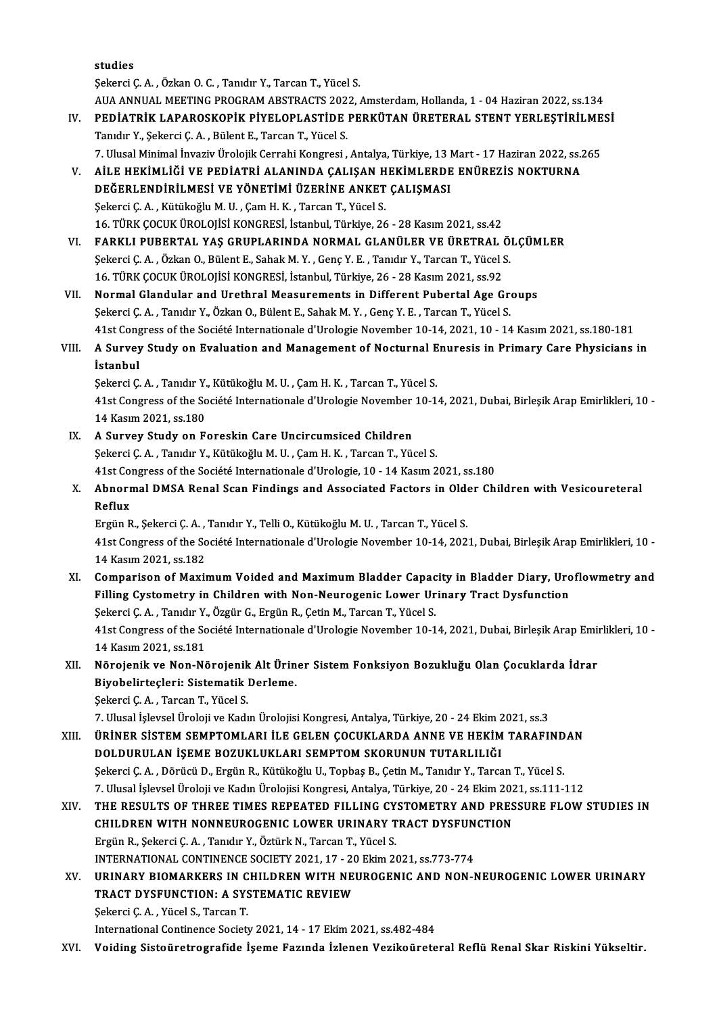studies

ŞekerciÇ.A. ,ÖzkanO.C. ,Tanıdır Y.,TarcanT.,YücelS. studies<br>Şekerci Ç. A. , Özkan O. C. , Tanıdır Y., Tarcan T., Yücel S.<br>AUA ANNUAL MEETING PROGRAM ABSTRACTS 2022, Amsterdam, Hollanda, 1 - 04 Haziran 2022, ss.134<br>PEDİATRİK I ARAROSKORİK RİYELORI ASTİDE RERKÜTAN ÜRETERAL ST Şekerci Ç. A. , Özkan O. C. , Tanıdır Y., Tarcan T., Yücel S.<br>AUA ANNUAL MEETING PROGRAM ABSTRACTS 2022, Amsterdam, Hollanda, 1 - 04 Haziran 2022, ss.134<br>IV. PEDİATRİK LAPAROSKOPİK PİYELOPLASTİDE PERKÜTAN ÜRETERAL STENT YE

- AUA ANNUAL MEETING PROGRAM ABSTRACTS 202<br>PEDIATRIK LAPAROSKOPIK PIYELOPLASTIDE<br>Tanıdır Y., Şekerci Ç.A. , Bülent E., Tarcan T., Yücel S.<br>7. Hlucel Minimal İnvariy Ürolojik Cerrabi Kongresi PEDİATRİK LAPAROSKOPİK PİYELOPLASTİDE PERKÜTAN ÜRETERAL STENT YERLEŞTİRİLME<br>Tanıdır Y., Şekerci Ç. A. , Bülent E., Tarcan T., Yücel S.<br>7. Ulusal Minimal İnvaziv Ürolojik Cerrahi Kongresi , Antalya, Türkiye, 13 Mart - 17 Ha Tanıdır Y., Şekerci Ç. A. , Bülent E., Tarcan T., Yücel S.<br>7. Ulusal Minimal İnvaziv Ürolojik Cerrahi Kongresi , Antalya, Türkiye, 13 Mart - 17 Haziran 2022, ss.<br>7. AİLE HEKİMLİĞİ VE PEDİATRİ ALANINDA ÇALIŞAN HEKİMLERDE EN
- 7. Ulusal Minimal İnvaziv Ürolojik Cerrahi Kongresi , Antalya, Türkiye, 13 I<br>AİLE HEKİMLİĞİ VE PEDİATRİ ALANINDA ÇALIŞAN HEKİMLERDE<br>DEĞERLENDİRİLMESİ VE YÖNETİMİ ÜZERİNE ANKET ÇALIŞMASI<br>Sekersi C.A., Kütükeğlu M.U., Cem H. AİLE HEKİMLİĞİ VE PEDİATRİ ALANINDA ÇALIŞAN H<br>DEĞERLENDİRİLMESİ VE YÖNETİMİ ÜZERİNE ANKET<br>Şekerci Ç.A. , Kütükoğlu M.U. , Çam H. K. , Tarcan T., Yücel S.<br>16 TÜPK COCUK ÜPOLOUSI KONCPESI, İstanbul Türkiye 26 DEĞERLENDİRİLMESİ VE YÖNETİMİ ÜZERİNE ANKET ÇALIŞMASI<br>Şekerci Ç. A. , Kütükoğlu M. U. , Çam H. K. , Tarcan T., Yücel S.<br>16. TÜRK ÇOCUK ÜROLOJİSİ KONGRESİ, İstanbul, Türkiye, 26 - 28 Kasım 2021, ss.42 Şekerci Ç. A. , Kütükoğlu M. U. , Çam H. K. , Tarcan T., Yücel S.<br>16. TÜRK ÇOCUK ÜROLOJİSİ KONGRESİ, İstanbul, Türkiye, 26 - 28 Kasım 2021, ss.42<br>VI. FARKLI PUBERTAL YAŞ GRUPLARINDA NORMAL GLANÜLER VE ÜRETRAL ÖLÇÜMLER<br>Seke
- 16. TÜRK ÇOCUK ÜROLOJİSİ KONGRESİ, İstanbul, Türkiye, 26 28 Kasım 2021, ss.42<br>FARKLI PUBERTAL YAŞ GRUPLARINDA NORMAL GLANÜLER VE ÜRETRAL Ö.<br>Şekerci Ç. A. , Özkan O., Bülent E., Sahak M. Y. , Genç Y. E. , Tanıdır Y., Tarc FARKLI PUBERTAL YAŞ GRUPLARINDA NORMAL GLANÜLER VE ÜRETRAL (Sekerci Ç. A. , Özkan O., Bülent E., Sahak M. Y. , Genç Y. E. , Tanıdır Y., Tarcan T., Yücel (S. Türkiye, 26 - 28 Kasım 2021, ss.92<br>16. TÜRK ÇOCUK ÜROLOJİSİ KONGR Sekerci Ç. A. , Özkan O., Bülent E., Sahak M. Y. , Genç Y. E. , Tanıdır Y., Tarcan T., Yücel S.<br>16. TÜRK ÇOCUK ÜROLOJİSİ KONGRESİ, İstanbul, Türkiye, 26 - 28 Kasım 2021, ss.92<br>VII. Normal Glandular and Urethral Measurement
- 16. TÜRK ÇOCUK ÜROLOJİSİ KONGRESİ, İstanbul, Türkiye, 26 28 Kasım 2021, ss.92<br>Normal Glandular and Urethral Measurements in Different Pubertal Age Greg.<br>Şekerci Ç. A. , Tanıdır Y., Özkan O., Bülent E., Sahak M. Y. , Genç \$ekerci Ç. A. , Tanıdır Y., Özkan O., Bülent E., Sahak M. Y. , Genç Y. E. , Tarcan T., Yücel S.<br>41st Congress of the Société Internationale d'Urologie November 10-14, 2021, 10 - 14 Kasım 2021, ss.180-181 Sekerci Ç. A. , Tanıdır Y., Özkan O., Bülent E., Sahak M. Y. , Genç Y. E. , Tarcan T., Yücel S.<br>41st Congress of the Société Internationale d'Urologie November 10-14, 2021, 10 - 14 Kasım 2021, ss.180-181<br>VIII. A Survey

## 41st Cong<br>**A Survey**<br>İstanbul<br>Sekergi G A Survey Study on Evaluation and Management of Nocturnal E<br>İstanbul<br>Şekerci Ç.A. , Tanıdır Y., Kütükoğlu M.U. , Çam H. K. , Tarcan T., Yücel S.<br>41et Congress of the Sosiété Internationale d'Uralogie Nevember 10 1

**İstanbul**<br>Şekerci Ç. A. , Tanıdır Y., Kütükoğlu M. U. , Çam H. K. , Tarcan T., Yücel S.<br>41st Congress of the Société Internationale d'Urologie November 10-14, 2021, Dubai, Birleşik Arap Emirlikleri, 10 -Şekerci Ç. A. , Tanıdır Y., Kütükoğlu M. U. , Çam H. K. , Tarcan T., Yücel S.<br>41st Congress of the Société Internationale d'Urologie November 10-1<br>14 Kasım 2021, ss.180<br>IX. A Survey Study on Foreskin Care Uncircumsiced 41st Congress of the Société Internationale d'Urologie November<br>14 Kasım 2021, ss.180<br>IX. A Survey Study on Foreskin Care Uncircumsiced Children<br>Sekergi C.A. Tanıdır V. Kütükeğlu M.H. Cam H.K. Tancan T. Vü

## Şekerci Ç. A., Tanıdır Y., Kütükoğlu M. U., Çam H. K., Tarcan T., Yücel S. A Survey Study on Foreskin Care Uncircumsiced Children<br>Şekerci Ç. A. , Tanıdır Y., Kütükoğlu M. U. , Çam H. K. , Tarcan T., Yücel S.<br>41st Congress of the Société Internationale d'Urologie, 10 - 14 Kasım 2021, ss.180<br>Abnorm

Sekerci Ç. A. , Tanıdır Y., Kütükoğlu M. U. , Çam H. K. , Tarcan T., Yücel S.<br>41st Congress of the Société Internationale d'Urologie, 10 - 14 Kasım 2021, ss.180<br>X. Abnormal DMSA Renal Scan Findings and Associated Facto 41st Co<br><mark>Abnorr</mark><br>Reflux<br>Fraën <sup>p</sup> Abnormal DMSA Renal Scan Findings and Associated Factors in Olde<br>Reflux<br>Ergün R., Şekerci Ç.A. , Tanıdır Y., Telli O., Kütükoğlu M.U. , Tarcan T., Yücel S.<br>41st Congress of the Sosiété Internationale d'Uralegie Nevember 10

Reflux<br>Ergün R., Şekerci Ç. A. , Tanıdır Y., Telli O., Kütükoğlu M. U. , Tarcan T., Yücel S.<br>41st Congress of the Société Internationale d'Urologie November 10-14, 2021, Dubai, Birleşik Arap Emirlikleri, 10 -<br>14 Kasım 2021 Ergün R., Şekerci Ç. A., Tanıdır Y., Telli O., Kütükoğlu M. U., Tarcan T., Yücel S. 41st Congress of the Société Internationale d'Urologie November 10-14, 2021, Dubai, Birleşik Arap Emirlikleri, 10 -<br>14 Kasım 2021, ss.182<br>XI. Comparison of Maximum Voided and Maximum Bladder Capacity in Bladder Diary, Urof

### 14 Kasım 2021, ss.182<br>Comparison of Maximum Voided and Maximum Bladder Capacity in Bladder Diary, Uro<br>Filling Cystometry in Children with Non-Neurogenic Lower Urinary Tract Dysfunction<br>Sekarsi C.A., Tanylu V. Özgün C. Engü Comparison of Maximum Voided and Maximum Bladder Capac<br>Filling Cystometry in Children with Non-Neurogenic Lower Ur<br>Şekerci Ç.A., Tanıdır Y., Özgür G., Ergün R., Çetin M., Tarcan T., Yücel S.<br>41et Congress of the Sosiété In Filling Cystometry in Children with Non-Neurogenic Lower Urinary Tract Dysfunction<br>Şekerci Ç. A. , Tanıdır Y., Özgür G., Ergün R., Çetin M., Tarcan T., Yücel S.<br>41st Congress of the Société Internationale d'Urologie Novemb Sekerci Ç. A. , Tanıdır Y.<br>41st Congress of the So<br>14 Kasım 2021, ss.181<br>Nönsianik ve Nan Ni 41st Congress of the Société Internationale d'Urologie November 10-14, 2021, Dubai, Birleşik Arap Emi<br>14 Kasım 2021, ss.181<br>XII. Nörojenik ve Non-Nörojenik Alt Üriner Sistem Fonksiyon Bozukluğu Olan Çocuklarda İdrar<br>Biyobe

## 14 Kasım 2021, ss.181<br>Nörojenik ve Non-Nörojenik Alt Ürin<br>Biyobelirteçleri: Sistematik Derleme.<br>Sekarsi C.A., Tarsan T. Vüsel S. Nörojenik ve Non-Nörojenik<br>Biyobelirteçleri: Sistematik<br>Şekerci Ç.A. , Tarcan T., Yücel S.<br>7. Ulucel İslavçel Üreleji ve Kadı Biyobelirteçleri: Sistematik Derleme.<br>Şekerci Ç. A. , Tarcan T., Yücel S.<br>7. Ulusal İşlevsel Üroloji ve Kadın Ürolojisi Kongresi, Antalya, Türkiye, 20 - 24 Ekim 2021, ss.3<br>ÜRİNER SİSTEM SEMPTOMLARL İLE CELEN COCUKLARDA ANN

XI I. ÜRİNER SİSTEMSEMPTOMLARI İLE GELEN ÇOCUKLARDA ANNE VE HEKİMTARAFINDAN 7. Ulusal İşlevsel Üroloji ve Kadın Ürolojisi Kongresi, Antalya, Türkiye, 20 - 24 Ekim 2<br>ÜRİNER SİSTEM SEMPTOMLARI İLE GELEN ÇOCUKLARDA ANNE VE HEKİM<br>DOLDURULAN İŞEME BOZUKLUKLARI SEMPTOM SKORUNUN TUTARLILIĞI<br>Sekarsi C.A., ÜRİNER SİSTEM SEMPTOMLARI İLE GELEN ÇOCUKLARDA ANNE VE HEKİM TARAFIND<br>DOLDURULAN İŞEME BOZUKLUKLARI SEMPTOM SKORUNUN TUTARLILIĞI<br>Şekerci Ç.A. , Dörücü D., Ergün R., Kütükoğlu U., Topbaş B., Çetin M., Tanıdır Y., Tarcan T., DOLDURULAN İŞEME BOZUKLUKLARI SEMPTOM SKORUNUN TUTARLILIĞI<br>Şekerci Ç. A. , Dörücü D., Ergün R., Kütükoğlu U., Topbaş B., Çetin M., Tanıdır Y., Tarcan T., Yücel S.<br>7. Ulusal İşlevsel Üroloji ve Kadın Ürolojisi Kongresi, Ant

### 7. Ulusal İşlevsel Üroloji ve Kadın Ürolojisi Kongresi, Antalya, Türkiye, 20 - 24 Ekim 2021, ss.111-112<br>XIV. THE RESULTS OF THREE TIMES REPEATED FILLING CYSTOMETRY AND PRESSURE FLOW STUDIES IN 7. Ulusal İşlevsel Üroloji ve Kadın Ürolojisi Kongresi, Antalya, Türkiye, 20 - 24 Ekim 202<br>THE RESULTS OF THREE TIMES REPEATED FILLING CYSTOMETRY AND PRES<br>CHILDREN WITH NONNEUROGENIC LOWER URINARY TRACT DYSFUNCTION<br>Fraün B THE RESULTS OF THREE TIMES REPEATED FILLING CY<br>CHILDREN WITH NONNEUROGENIC LOWER URINARY T<br>Ergün R., Şekerci Ç. A. , Tanıdır Y., Öztürk N., Tarcan T., Yücel S.<br>INTERNATIONAL CONTINENCE SOCIETY 2021-17 - 20 Eltim 24 CHILDREN WITH NONNEUROGENIC LOWER URINARY TRACT DYSFUN<br>Ergün R., Şekerci Ç. A. , Tanıdır Y., Öztürk N., Tarcan T., Yücel S.<br>INTERNATIONAL CONTINENCE SOCIETY 2021, 17 - 20 Ekim 2021, ss.773-774<br>URINARY PIOMARKERS IN CHILDRE Ergün R., Şekerci Ç. A. , Tanıdır Y., Öztürk N., Tarcan T., Yücel S.<br>INTERNATIONAL CONTINENCE SOCIETY 2021, 17 - 20 Ekim 2021, ss.773-774<br>XV. URINARY BIOMARKERS IN CHILDREN WITH NEUROGENIC AND NON-NEUROGENIC LOWER URIN

- INTERNATIONAL CONTINENCE SOCIETY 2021, 17 20<br>URINARY BIOMARKERS IN CHILDREN WITH NEI<br>TRACT DYSFUNCTION: A SYSTEMATIC REVIEW<br>Sekars C.A. Vüsel S. Tarsan T URINARY BIOMARKERS IN C<br>TRACT DYSFUNCTION: A SYS<br>Şekerci Ç.A. , Yücel S., Tarcan T.<br>International Continence Societ: TRACT DYSFUNCTION: A SYSTEMATIC REVIEW<br>Sekerci Ç. A. , Yücel S., Tarcan T.<br>International Continence Society 2021, 14 - 17 Ekim 2021, ss.482-484
- XVI. Voiding Sistoüretrografide İşeme Fazında İzlenen Vezikoüreteral Reflü Renal Skar Riskini Yükseltir.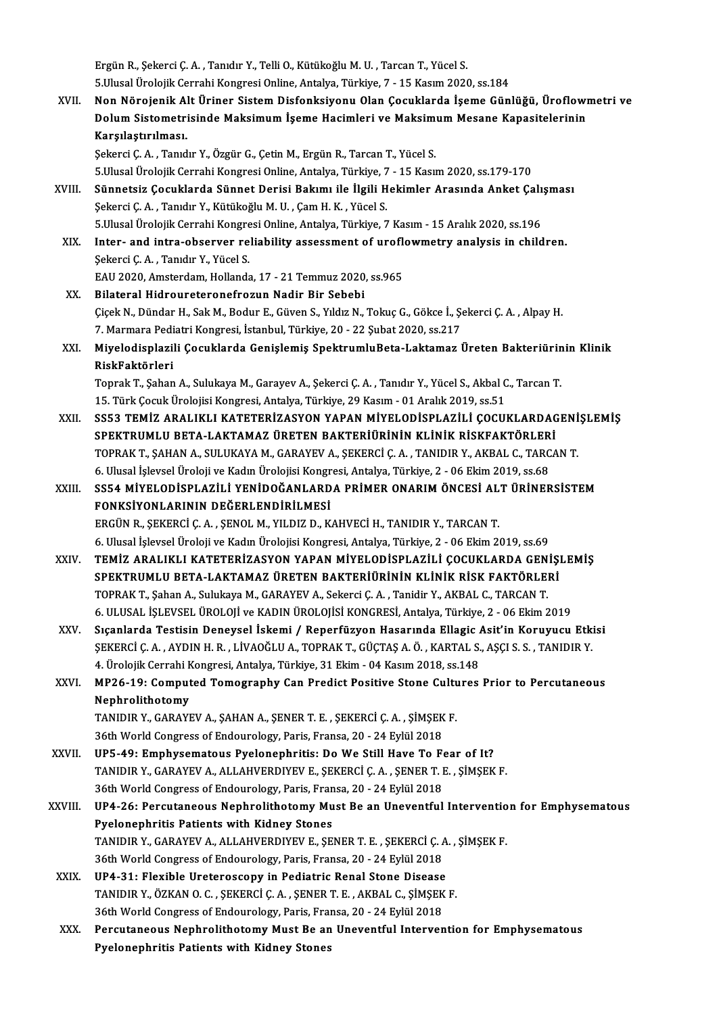Ergün R., Şekerci Ç. A., Tanıdır Y., Telli O., Kütükoğlu M. U., Tarcan T., Yücel S. 5.UlusalÜrolojikCerrahiKongresiOnline,Antalya,Türkiye,7 -15Kasım2020, ss.184 Ergün R., Şekerci Ç. A. , Tanıdır Y., Telli O., Kütükoğlu M. U. , Tarcan T., Yücel S.<br>5.Ulusal Ürolojik Cerrahi Kongresi Online, Antalya, Türkiye, 7 - 15 Kasım 2020, ss.184<br>XVII. Non Nörojenik Alt Üriner Sistem Disfonksiyo

5.Ulusal Ürolojik Cerrahi Kongresi Online, Antalya, Türkiye, 7 - 15 Kasım 2020, ss.184<br>Non Nörojenik Alt Üriner Sistem Disfonksiyonu Olan Çocuklarda İşeme Günlüğü, Üroflowı<br>Dolum Sistometrisinde Maksimum İşeme Hacimleri ve Non Nörojenik Al<br>Dolum Sistometri<br>Karşılaştırılması.<br>Sekersi C.A. Tanıd Dolum Sistometrisinde Maksimum İşeme Hacimleri ve Maksimum Mesane Kapasitelerinin<br>Karşılaştırılması.<br>Şekerci Ç. A. , Tanıdır Y., Özgür G., Çetin M., Ergün R., Tarcan T., Yücel S.

5.UlusalÜrolojikCerrahiKongresiOnline,Antalya,Türkiye,7 -15Kasım2020, ss.179-170

- XVIII. Sünnetsiz Çocuklarda Sünnet Derisi Bakımı ile İlgili Hekimler Arasında Anket Çalışması ŞekerciÇ.A. ,Tanıdır Y.,KütükoğluM.U. ,ÇamH.K. ,YücelS. Sünnetsiz Çocuklarda Sünnet Derisi Bakımı ile İlgili Hekimler Arasında Anket Çalı<br>Şekerci Ç. A. , Tanıdır Y., Kütükoğlu M. U. , Çam H. K. , Yücel S.<br>5.Ulusal Ürolojik Cerrahi Kongresi Online, Antalya, Türkiye, 7 Kasım - 15 Şekerci Ç. A. , Tanıdır Y., Kütükoğlu M. U. , Çam H. K. , Yücel S.<br>5.Ulusal Ürolojik Cerrahi Kongresi Online, Antalya, Türkiye, 7 Kasım - 15 Aralık 2020, ss.196<br>XIX. Inter- and intra-observer reliability assessment of
	- 5.Ulusal Ürolojik Cerrahi Kongre<br>Inter- and intra-observer re<br>Şekerci Ç.A. , Tanıdır Y., Yücel S.<br>EAU 2020. Amsterdam, Hallands Inter- and intra-observer reliability assessment of uroflowmetry analysis in children.<br>Şekerci Ç. A. , Tanıdır Y., Yücel S.<br>EAU 2020, Amsterdam, Hollanda, 17 - 21 Temmuz 2020, ss.965

- XX. Bilateral Hidroureteronefrozun Nadir Bir Sebebi EAU 2020, Amsterdam, Hollanda, 17 - 21 Temmuz 2020, ss.965<br>Bilateral Hidroureteronefrozun Nadir Bir Sebebi<br>Çiçek N., Dündar H., Sak M., Bodur E., Güven S., Yıldız N., Tokuç G., Gökce İ., Şekerci Ç. A. , Alpay H.<br>7. Marmare Bilateral Hidroureteronefrozun Nadir Bir Sebebi<br>Çiçek N., Dündar H., Sak M., Bodur E., Güven S., Yıldız N., Tokuç G., Gökce İ., Ş.<br>7. Marmara Pediatri Kongresi, İstanbul, Türkiye, 20 - 22 Şubat 2020, ss.217<br>Miyeledianlaril Çiçek N., Dündar H., Sak M., Bodur E., Güven S., Yıldız N., Tokuç G., Gökce İ., Şekerci Ç. A. , Alpay H.<br>7. Marmara Pediatri Kongresi, İstanbul, Türkiye, 20 - 22 Şubat 2020, ss.217<br>XXI. Miyelodisplazili Çocuklarda Geni
- 7. Marmara Pediatri Kongresi, İstanbul, Türkiye, 20 22 Şubat 2020, ss.217<br>Miyelodisplazili Çocuklarda Genişlemiş SpektrumluBeta-Laktamaz Üreten Bakteriürin<br>RiskFaktörleri<br>Toprak T., Şahan A., Sulukaya M., Garayev A., Şek Miyelodisplazili Çocuklarda Genişlemiş SpektrumluBeta-Laktamaz Üreten Bakteriürin<br>RiskFaktörleri<br>Toprak T., Şahan A., Sulukaya M., Garayev A., Şekerci Ç. A. , Tanıdır Y., Yücel S., Akbal C., Tarcan T.<br>15. Türk Cosuk Ürelej

15.TürkÇocukÜrolojisiKongresi,Antalya,Türkiye,29Kasım-01Aralık2019, ss.51

- XXII. SS53 TEMİZ ARALIKLI KATETERİZASYON YAPAN MİYELODİSPLAZİLİ ÇOCUKLARDAGENİSLEMİS SPEKTRUMLU BETA-LAKTAMAZ ÜRETEN BAKTERİÜRİNİN KLİNİK RİSKFAKTÖRLERİ SS53 TEMİZ ARALIKLI KATETERİZASYON YAPAN MİYELODİSPLAZİLİ ÇOCUKLARDAGENİ<br>SPEKTRUMLU BETA-LAKTAMAZ ÜRETEN BAKTERİÜRİNIN KLINIK RISKFAKTÖRLERI<br>TOPRAK T., ŞAHAN A., SULUKAYA M., GARAYEV A., ŞEKERCİ Ç. A. , TANIDIR Y., AKBAL C SPEKTRUMLU BETA-LAKTAMAZ ÜRETEN BAKTERİÜRİNİN KLİNİK RİSKFAKTÖRLER<br>TOPRAK T., ŞAHAN A., SULUKAYA M., GARAYEV A., ŞEKERCİ Ç. A. , TANIDIR Y., AKBAL C., TARC<br>6. Ulusal İşlevsel Üroloji ve Kadın Ürolojisi Kongresi, Antalya, T TOPRAK T., ŞAHAN A., SULUKAYA M., GARAYEV A., ŞEKERCİ Ç. A. , TANIDIR Y., AKBAL C., TARCAN T.<br>6. Ulusal İşlevsel Üroloji ve Kadın Ürolojisi Kongresi, Antalya, Türkiye, 2 - 06 Ekim 2019, ss.68<br>XXIII. SS54 MİYELODİSPLAZİ
- 6. Ulusal İşlevsel Üroloji ve Kadın Ürolojisi Kongresi, Antalya, Türkiye, 2 06 Ekim 2019, ss.68<br>SS54 MİYELODİSPLAZİLİ YENİDOĞANLARDA PRİMER ONARIM ÖNCESİ ALT ÜRİNEI<br>FONKSİYONLARININ DEĞERLENDİRİLMESİ<br>ERGÜN R., SEKERCİ C. SS54 MİYELODİSPLAZİLİ YENİDOĞANLARDA PRİMER ONARIM ÖNCESİ ALT ÜRİNERSİSTEM 6.Ulusal İşlevselÜrolojiveKadınÜrolojisiKongresi,Antalya,Türkiye,2 -06Ekim2019, ss.69
- ERGÜN R., ŞEKERCİ Ç. A. , ŞENOL M., YILDIZ D., KAHVECİ H., TANIDIR Y., TARCAN T.<br>6. Ulusal İşlevsel Üroloji ve Kadın Ürolojisi Kongresi, Antalya, Türkiye, 2 06 Ekim 2019, ss.69<br>XXIV. TEMİZ ARALIKLI KATETERİZASYON YAP 6. Ulusal İşlevsel Üroloji ve Kadın Ürolojisi Kongresi, Antalya, Türkiye, 2 - 06 Ekim 2019, ss.69<br>TEMİZ ARALIKLI KATETERİZASYON YAPAN MİYELODİSPLAZİLİ ÇOCUKLARDA GENİŞ!<br>SPEKTRUMLU BETA-LAKTAMAZ ÜRETEN BAKTERİÜRİNİN KLİNİK TEMİZ ARALIKLI KATETERİZASYON YAPAN MİYELODİSPLAZİLİ ÇOCUKLARDA GEN<br>SPEKTRUMLU BETA-LAKTAMAZ ÜRETEN BAKTERİÜRİNİN KLİNİK RİSK FAKTÖRLEI<br>TOPRAK T., Şahan A., Sulukaya M., GARAYEV A., Sekerci Ç. A. , Tanidir Y., AKBAL C., TA 6.SPEKTRUMLU BETA-LAKTAMAZ ÜRETEN BAKTERİÜRİNİN KLİNİK RİSK FAKTÖRLERİ<br>1999-YOPRAK T., Şahan A., Sulukaya M., GARAYEV A., Sekerci Ç. A. , Tanidir Y., AKBAL C., TARCAN T.<br>1991-YOPRAK İŞLEVSEL ÜROLOJİ ve KADIN ÜROLOJİSİ KONG TOPRAK T., Şahan A., Sulukaya M., GARAYEV A., Sekerci Ç. A. , Tanidir Y., AKBAL C., TARCAN T.<br>6. ULUSAL İŞLEVSEL ÜROLOJİ ve KADIN ÜROLOJİSİ KONGRESİ, Antalya, Türkiye, 2 - 06 Ekim 2019<br>XXV. Sıçanlarda Testisin Deneysel İsk
- 6. ULUSAL İŞLEVSEL ÜROLOJİ ve KADIN ÜROLOJİSİ KONGRESİ, Antalya, Türkiye, 2 06 Ekim 2019<br>Sıçanlarda Testisin Deneysel İskemi / Reperfüzyon Hasarında Ellagic Asit'in Koruyucu Etki<br>ŞEKERCİ Ç. A. , AYDIN H. R. , LİVAOĞLU A. Sıçanlarda Testisin Deneysel İskemi / Reperfüzyon Hasarında Ellagic *I*<br>ŞEKERCİ Ç. A. , AYDIN H. R. , LİVAOĞLU A., TOPRAK T., GÜÇTAŞ A. Ö. , KARTAL S.<br>4. Ürolojik Cerrahi Kongresi, Antalya, Türkiye, 31 Ekim - 04 Kasım 2018 SEKERCİ Ç. A. , AYDIN H. R. , LİVAOĞLU A., TOPRAK T., GÜÇTAŞ A. Ö. , KARTAL S., AŞÇI S. S. , TANIDIR Y.<br>4. Ürolojik Cerrahi Kongresi, Antalya, Türkiye, 31 Ekim - 04 Kasım 2018, ss.148<br>XXVI. MP26-19: Computed Tomography Can 4. Ürolojik Cerrahi Kongresi, Antalya, Türkiye, 31 Ekim - 04 Kasım 2018, ss.148
- MP26-19: Computed Tomography Can Predict Positive Stone Cultu<br>Nephrolithotomy<br>TANIDIR Y., GARAYEV A., ŞAHAN A., ŞENER T. E. , ŞEKERCİ Ç. A. , ŞİMŞEK F.<br>26th World Congress of Endourology, Paris, Eransa 20, 24 Evlül 2019 Nephrolithotomy<br>TANIDIR Y., GARAYEV A., ŞAHAN A., ŞENER T. E. , ŞEKERCİ Ç. A. , ŞİMŞEK<br>36th World Congress of Endourology, Paris, Fransa, 20 - 24 Eylül 2018<br>UPE 49. Emphycamatous Byslanaphritis: De We Still Have Te Es

- TANIDIR Y., GARAYEV A., ŞAHAN A., ŞENER T. E., ŞEKERCİ Ç. A., ŞİMŞEK F.<br>36th World Congress of Endourology, Paris, Fransa, 20 24 Eylül 2018<br>XXVII. UP5-49: Emphysematous Pyelonephritis: Do We Still Have To Fear of It?<br>TAN 36th World Congress of Endourology, Paris, Fransa, 20 - 24 Eylül 2018<br>UP5-49: Emphysematous Pyelonephritis: Do We Still Have To Fear of It?<br>TANIDIR Y., GARAYEV A., ALLAHVERDIYEV E., ŞEKERCİ Ç. A. , ŞENER T. E. , ŞİMŞEK F.<br> UP5-49: Emphysematous Pyelonephritis: Do We Still Have To F<br>TANIDIR Y., GARAYEV A., ALLAHVERDIYEV E., ŞEKERCİ Ç. A. , ŞENER T. I<br>36th World Congress of Endourology, Paris, Fransa, 20 - 24 Eylül 2018<br>UP4-26: Persutansayus N TANIDIR Y., GARAYEV A., ALLAHVERDIYEV E., ŞEKERCİ Ç. A. , ŞENER T. E. , ŞİMŞEK F.<br>36th World Congress of Endourology, Paris, Fransa, 20 - 24 Eylül 2018<br>XXVIII. UP4-26: Percutaneous Nephrolithotomy Must Be an Uneventful Int
- 36th World Congress of Endourology, Paris, Fransa, 20 24 Eylül 2018<br>UP4-26: Percutaneous Nephrolithotomy Must Be an Uneventful<br>Pyelonephritis Patients with Kidney Stones UP4-26: Percutaneous Nephrolithotomy Must Be an Uneventful Interventio<br>Pyelonephritis Patients with Kidney Stones<br>TANIDIR Y., GARAYEV A., ALLAHVERDIYEV E., ŞENER T. E. , ŞEKERCİ Ç. A. , ŞİMŞEK F.<br>26th World Congress of End TANIDIR Y., GARAYEV A., ALLAHVERDIYEV E., ŞENER T. E. , ŞEKERCİ Ç. A. , ŞİMŞEK F.<br>36th World Congress of Endourology, Paris, Fransa, 20 - 24 Eylül 2018 TANIDIR Y., GARAYEV A., ALLAHVERDIYEV E., ŞENER T. E., ŞEKERCİ Ç. A<br>36th World Congress of Endourology, Paris, Fransa, 20 - 24 Eylül 2018<br>XXIX. UP4-31: Flexible Ureteroscopy in Pediatric Renal Stone Disease<br>TANIDIR Y. ÖZKA
- TANIDIR Y., ÖZKAN O. C. , ŞEKERCİ Ç. A. , ŞENER T. E. , AKBAL C., ŞİMŞEK F.<br>36th World Congress of Endourology, Paris, Fransa, 20 24 Eylül 2018 UP4-31: Flexible Ureteroscopy in Pediatric Renal Stone Disease<br>TANIDIR Y., ÖZKAN O. C. , ŞEKERCİ Ç. A. , ŞENER T. E. , AKBAL C., ŞİMŞEK<br>36th World Congress of Endourology, Paris, Fransa, 20 - 24 Eylül 2018<br>Persutansayıs Na TANIDIR Y., ÖZKAN O. C. , ŞEKERCİ Ç. A. , ŞENER T. E. , AKBAL C., ŞİMŞEK F.<br>36th World Congress of Endourology, Paris, Fransa, 20 - 24 Eylül 2018<br>XXX. Percutaneous Nephrolithotomy Must Be an Uneventful Intervention for Emp
- 36th World Congress of Endourology, Paris, Fra:<br>Percutaneous Nephrolithotomy Must Be an<br>Pyelonephritis Patients with Kidney Stones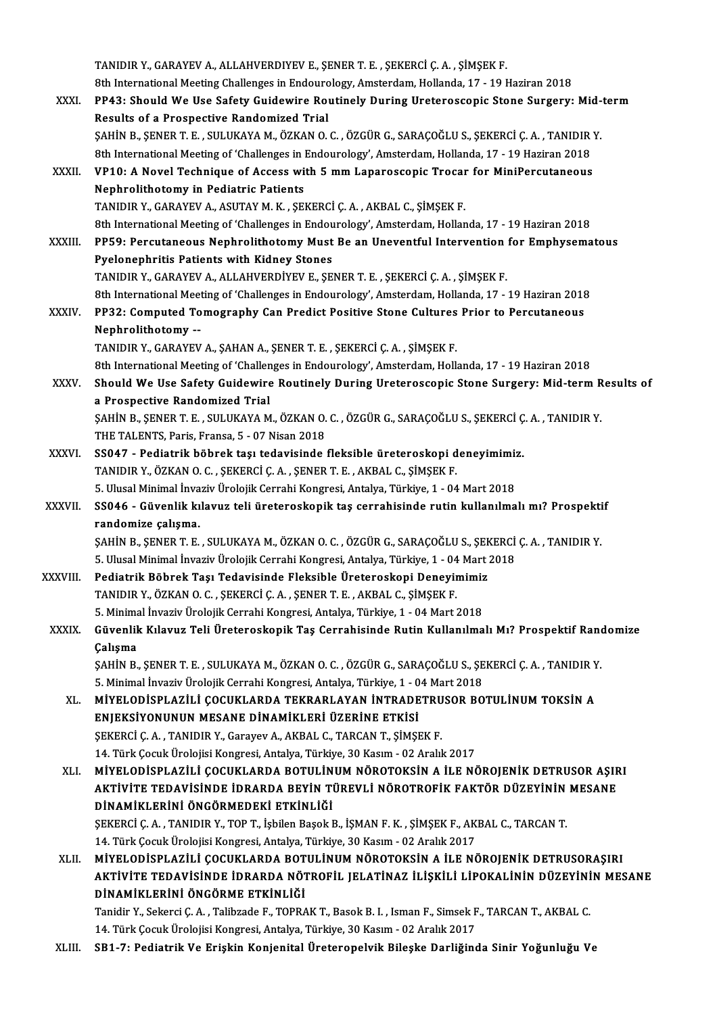TANIDIRY.,GARAYEVA.,ALLAHVERDIYEVE.,ŞENERT.E. ,ŞEKERCİÇ.A. ,ŞİMŞEKF. 8th International Meeting Challenges in Endourology, Amsterdam, Hollanda, 17 - 19 Haziran 2018 TANIDIR Y., GARAYEV A., ALLAHVERDIYEV E., ŞENER T. E. , ŞEKERCİ Ç. A. , ŞİMŞEK F.<br>8th International Meeting Challenges in Endourology, Amsterdam, Hollanda, 17 - 19 Haziran 2018<br>XXXI. PP43: Should We Use Safety Guidewire Ro 8th International Meeting Challenges in Endouro<br>PP43: Should We Use Safety Guidewire Rou<br>Results of a Prospective Randomized Trial<br>SAHIN B. SENER T. E. SULUKAYA M. ÖZKAN O PP43: Should We Use Safety Guidewire Routinely During Ureteroscopic Stone Surgery: Mid-<br>Results of a Prospective Randomized Trial<br>ŞAHİN B., ŞENER T. E. , SULUKAYA M., ÖZKAN O. C. , ÖZGÜR G., SARAÇOĞLU S., ŞEKERCİ Ç. A. , T Results of a Prospective Randomized Trial<br>\$AHİN B., ŞENER T. E. , SULUKAYA M., ÖZKAN O. C. , ÖZGÜR G., SARAÇOĞLU S., ŞEKERCİ Ç. A. , TANIDIR Y.<br>8th International Meeting of 'Challenges in Endourology', Amsterdam, Hollanda, \$AHİN B., \$ENER T. E. , SULUKAYA M., ÖZKAN O. C. , ÖZGÜR G., SARAÇOĞLU S., \$EKERCİ Ç. A. , TANIDIR<br>8th International Meeting of 'Challenges in Endourology', Amsterdam, Hollanda, 17 - 19 Haziran 2018<br>XXXII. VP10: A Nove 8th International Meeting of 'Challenges in 1<br>VP10: A Novel Technique of Access wi<br>Nephrolithotomy in Pediatric Patients<br>TANIDIR V. CARAYEV A ASUTAY M. K. SEI VP10: A Novel Technique of Access with 5 mm Laparoscopic Trocar<br>Nephrolithotomy in Pediatric Patients<br>TANIDIR Y., GARAYEV A., ASUTAY M. K. , ŞEKERCİ Ç. A. , AKBAL C., ŞİMŞEK F.<br><sup>9th International Meeting of 'Challenges in </sup> Nephrolithotomy in Pediatric Patients<br>TANIDIR Y., GARAYEV A., ASUTAY M. K. , ŞEKERCİ Ç. A. , AKBAL C., ŞİMŞEK F.<br>8th International Meeting of 'Challenges in Endourology', Amsterdam, Hollanda, 17 - 19 Haziran 2018<br>PPE9: Per TANIDIR Y., GARAYEV A., ASUTAY M. K. , ŞEKERCİ Ç. A. , AKBAL C., ŞİMŞEK F.<br>8th International Meeting of 'Challenges in Endourology', Amsterdam, Hollanda, 17 - 19 Haziran 2018<br>XXXIII. PP59: Percutaneous Nephrolithotomy Must 8th International Meeting of 'Challenges in Endou<br>PP59: Percutaneous Nephrolithotomy Must<br>Pyelonephritis Patients with Kidney Stones<br>TANIDIR V. CARAYEV A. ALLAHVERDIVEV E. SE PP59: Percutaneous Nephrolithotomy Must Be an Uneventful Intervention for Emphysematous<br>Pyelonephritis Patients with Kidney Stones<br>TANIDIR Y., GARAYEV A., ALLAHVERDİYEV E., ŞENER T. E. , ŞEKERCİ Ç. A. , ŞİMŞEK F. Pyelonephritis Patients with Kidney Stones<br>TANIDIR Y., GARAYEV A., ALLAHVERDİYEV E., ŞENER T. E. , ŞEKERCİ Ç. A. , ŞİMŞEK F.<br>8th International Meeting of 'Challenges in Endourology', Amsterdam, Hollanda, 17 - 19 Haziran 20 TANIDIR Y., GARAYEV A., ALLAHVERDİYEV E., ŞENER T. E. , ŞEKERCİ Ç. A. , ŞİMŞEK F.<br>8th International Meeting of 'Challenges in Endourology', Amsterdam, Hollanda, 17 - 19 Haziran 2018<br>XXXIV. PP32: Computed Tomography Can Pre **8th International Meet<br>PP32: Computed To<br>Nephrolithotomy --<br>TANIDIB Y, CABAYEV** PP32: Computed Tomography Can Predict Positive Stone Cultures<br>Nephrolithotomy --<br>TANIDIR Y., GARAYEV A., ŞAHAN A., ŞENER T. E. , ŞEKERCİ Ç. A. , ŞİMŞEK F.<br><sup>9th</sup> International Meeting of 'Challenges in Endouralegy', Ameterd 8th International Mephrolithotomy<br>19th International Meeting of 'Challenges in Endourology', Amsterdam, Hollanda, 17 - 19 Haziran<br>1918 - 8th International Meeting of 'Challenges in Endourology', Amsterdam, Hollanda, 17 - 1 TANIDIR Y., GARAYEV A., ŞAHAN A., ŞENER T. E. , ŞEKERCİ Ç. A. , ŞİMŞEK F.<br>8th International Meeting of 'Challenges in Endourology', Amsterdam, Hollanda, 17 - 19 Haziran 2018<br>XXXV. Should We Use Safety Guidewire Routinely D 8th International Meeting of 'Challen<br>Should We Use Safety Guidewire<br>a Prospective Randomized Trial<br>SAHIN B. SENER T. E. SULUKAYA M Should We Use Safety Guidewire Routinely During Ureteroscopic Stone Surgery: Mid-term R<br>a Prospective Randomized Trial<br>ŞAHİN B., ŞENER T. E. , SULUKAYA M., ÖZKAN O. C. , ÖZGÜR G., SARAÇOĞLU S., ŞEKERCİ Ç. A. , TANIDIR Y.<br>T a Prospective Randomized Trial<br>ŞAHİN B., ŞENER T. E. , SULUKAYA M., ÖZKAN O. C. , ÖZGÜR G., SARAÇOĞLU S., ŞEKERCİ Ç. A. , TANIDIR Y.<br>THE TALENTS, Paris, Fransa, 5 - 07 Nisan 2018 SAHİN B., ŞENER T. E., SULUKAYA M., ÖZKAN O. C., ÖZGÜR G., SARAÇOĞLU S., ŞEKERCİ Ç<br>THE TALENTS, Paris, Fransa, 5 - 07 Nisan 2018<br>XXXVI. SS047 - Pediatrik böbrek taşı tedavisinde fleksible üreteroskopi deneyimimiz.<br>TANIDIB THE TALENTS, Paris, Fransa, 5 - 07 Nisan 2018<br>SS047 - Pediatrik böbrek taşı tedavisinde fleksible üreteroskopi d<br>TANIDIR Y., ÖZKAN O. C. , ŞEKERCİ Ç. A. , ŞENER T. E. , AKBAL C., ŞİMŞEK F.<br>5 Husel Minimal İnvasiy Ürelejik 55047 - Pediatrik böbrek taşı tedavisinde fleksible üreteroskopi deneyimimi:<br>TANIDIR Y., ÖZKAN O. C. , ŞEKERCİ Ç. A. , ŞENER T. E. , AKBAL C., ŞİMŞEK F.<br>5. Ulusal Minimal İnvaziv Ürolojik Cerrahi Kongresi, Antalya, Türkiye TANIDIR Y., ÖZKAN O. C. , ŞEKERCİ Ç. A. , ŞENER T. E. , AKBAL C., ŞİMŞEK F.<br>5. Ulusal Minimal İnvaziv Ürolojik Cerrahi Kongresi, Antalya, Türkiye, 1 - 04 Mart 2018<br>XXXVII. SS046 - Güvenlik kılavuz teli üreteroskopik ta randomize çalışma. SS046 - Güvenlik kılavuz teli üreteroskopik taş cerrahisinde rutin kullanılmalı mı? Prospekti<br>randomize çalışma.<br>ŞAHİN B., ŞENER T. E. , SULUKAYA M., ÖZKAN O. C. , ÖZGÜR G., SARAÇOĞLU S., ŞEKERCİ Ç. A. , TANIDIR Y.<br>E. Uluc randomize çalışma.<br>ŞAHİN B., ŞENER T. E. , SULUKAYA M., ÖZKAN O. C. , ÖZGÜR G., SARAÇOĞLU S., ŞEKERCİ<br>5. Ulusal Minimal İnvaziv Ürolojik Cerrahi Kongresi, Antalya, Türkiye, 1 - 04 Mart 2018<br>Podiatrik Böhrek Tesi Tedevisind SAHİN B., ŞENER T. E., SULUKAYA M., ÖZKAN O. C., ÖZGÜR G., SARAÇOĞLU S., ŞEK<br>5. Ulusal Minimal İnvaziv Ürolojik Cerrahi Kongresi, Antalya, Türkiye, 1 - 04 Mart<br>XXXVIII. Pediatrik Böbrek Taşı Tedavisinde Fleksible Üreterosk 5. Ulusal Minimal İnvaziv Ürolojik Cerrahi Kongresi, Antalya, Türkiye, 1 - 04<br>Pediatrik Böbrek Taşı Tedavisinde Fleksible Üreteroskopi Deneyir<br>TANIDIR Y., ÖZKAN O. C. , ŞEKERCİ Ç. A. , ŞENER T. E. , AKBAL C., ŞİMŞEK F.<br>E. Pediatrik Böbrek Taşı Tedavisinde Fleksible Üreteroskopi Deneyimimiz<br>TANIDIR Y., ÖZKAN O. C. , ŞEKERCİ Ç. A. , ŞENER T. E. , AKBAL C., ŞİMŞEK F.<br>5. Minimal İnvaziv Ürolojik Cerrahi Kongresi, Antalya, Türkiye, 1 - 04 Mart 2 XXXIX. Güvenlik Kılavuz Teli Üreteroskopik Taş Cerrahisinde Rutin Kullanılmalı Mı? Prospektif Randomize<br>Calışma 5. Minimal İnvaziv Ürolojik Cerrahi Kongresi, Antalya, Türkiye, 1 - 04 Mart 2018 Güvenlik Kılavuz Teli Üreteroskopik Taş Cerrahisinde Rutin Kullanılmalı Mı? Prospektif Rand<br>Çalışma<br>ŞAHİN B., ŞENER T. E. , SULUKAYA M., ÖZKAN O. C. , ÖZGÜR G., SARAÇOĞLU S., ŞEKERCİ Ç. A. , TANIDIR Y.<br>E. Minimal İnvariy Ü Çalışma<br>ŞAHİN B., ŞENER T. E. , SULUKAYA M., ÖZKAN O. C. , ÖZGÜR G., SARAÇOĞLU S., ŞE<br>5. Minimal İnvaziv Ürolojik Cerrahi Kongresi, Antalya, Türkiye, 1 - 04 Mart 2018<br>MİYELODİSPLAZİLİ COCUKLAPDA TEKRAPLAYAN İNTRADETPUSOR P SAHİN B., ŞENER T. E. , SULUKAYA M., ÖZKAN O. C. , ÖZGÜR G., SARAÇOĞLU S., ŞEKERCİ Ç. A. , TANIDIR Y<br>5. Minimal İnvaziv Ürolojik Cerrahi Kongresi, Antalya, Türkiye, 1 - 04 Mart 2018<br>XL. MİYELODİSPLAZİLİ ÇOCUKLARDA TEKRARLA 5. Minimal İnvaziv Ürolojik Cerrahi Kongresi, Antalya, Türkiye, 1 - 0<br>MİYELODİSPLAZİLİ ÇOCUKLARDA TEKRARLAYAN İNTRADE<br>ENJEKSİYONUNUN MESANE DİNAMİKLERİ ÜZERİNE ETKİSİ<br>SEKERÇİ C.A., TANIDIR V. CARYAY, A AKRAL G. TARÇAN T. S MİYELODİSPLAZİLİ ÇOCUKLARDA TEKRARLAYAN İNTRADETRU<br>ENJEKSİYONUNUN MESANE DİNAMİKLERİ ÜZERİNE ETKİSİ<br>ŞEKERCİ Ç. A. , TANIDIR Y., Garayev A., AKBAL C., TARCAN T., ŞİMŞEK F.<br>14. Türk Cosuk Ürelejisi Konstasi, Attalya, Türkiye ENJEKSİYONUNUN MESANE DİNAMİKLERİ ÜZERİNE ETKİSİ<br>ŞEKERCİ Ç. A. , TANIDIR Y., Garayev A., AKBAL C., TARCAN T., ŞİMŞEK F.<br>14. Türk Çocuk Ürolojisi Kongresi, Antalya, Türkiye, 30 Kasım - 02 Aralık 2017<br>MİYEL ODİSPLAZLI İ. COC ŞEKERCİ Ç. A. , TANIDIR Y., Garayev A., AKBAL C., TARCAN T., ŞİMŞEK F.<br>14. Türk Çocuk Ürolojisi Kongresi, Antalya, Türkiye, 30 Kasım - 02 Aralık 2017<br>XLI. MİYELODİSPLAZİLİ ÇOCUKLARDA BOTULİNUM NÖROTOKSİN A İLE NÖROJENİK DE 14. Türk Çocuk Ürolojisi Kongresi, Antalya, Türkiye, 30 Kasım - 02 Aralık 2017<br>MİYELODİSPLAZİLİ ÇOCUKLARDA BOTULİNUM NÖROTOKSİN A İLE NÖROJENİK DETRUSOR AŞIR<br>AKTİVİTE TEDAVİSİNDE İDRARDA BEYİN TÜREVLİ NÖROTROFİK FAKTÖR DÜZ MİYELODİSPLAZİLİ ÇOCUKLARDA BOTULİN<br>AKTİVİTE TEDAVİSİNDE İDRARDA BEYİN Tİ<br>DİNAMİKLERİNİ ÖNGÖRMEDEKİ ETKİNLİĞİ<br>SEKERÇİ C.A. TANIDIR V. TOR T. İsbilan Basak i AKTİVİTE TEDAVİSİNDE İDRARDA BEYİN TÜREVLİ NÖROTROFİK FAKTÖR DÜZEYİNİN MESANE<br>DİNAMIKLERİNİ ÖNGÖRMEDEKİ ETKİNLİĞİ<br>ŞEKERCİ Ç. A. , TANIDIR Y., TOP T., İşbilen Başok B., İŞMAN F. K. , ŞİMŞEK F., AKBAL C., TARCAN T.<br>14. Türk SEKERCİ C. A., TANIDIR Y., TOP T., İsbilen Basok B., İSMAN F. K., SİMSEK F., AKBAL C., TARCAN T. XLI . MİYELODİSPLAZİLİ ÇOCUKLARDA BOTULİNUMNÖROTOKSİN A İLE NÖROJENİK DETRUSORAŞIRI 14. Türk Çocuk Ürolojisi Kongresi, Antalya, Türkiye, 30 Kasım - 02 Aralık 2017<br>MİYELODİSPLAZİLİ ÇOCUKLARDA BOTULİNUM NÖROTOKSİN A İLE NÖROJENİK DETRUSORAŞIRI<br>AKTİVİTE TEDAVİSİNDE İDRARDA NÖTROFİL JELATİNAZ İLİŞKİLİ LİPOKAL MİYELODİSPLAZİLİ ÇOCUKLARDA BOT<br>AKTİVİTE TEDAVİSİNDE İDRARDA NÖJ<br>DİNAMİKLERİNİ ÖNGÖRME ETKİNLİĞİ<br>Tanidir V. Sakaral C.A. Talibrada E. TOPPA AKTİVİTE TEDAVİSİNDE İDRARDA NÖTROFİL JELATİNAZ İLİŞKİLİ LİPOKALİNİN DÜZEYİNİ<br>DİNAMİKLERİNİ ÖNGÖRME ETKİNLİĞİ<br>Tanidir Y., Sekerci Ç. A. , Talibzade F., TOPRAK T., Basok B. I. , Isman F., Simsek F., TARCAN T., AKBAL C.<br>14. DİNAMİKLERİNİ ÖNGÖRME ETKİNLİĞİ<br>Tanidir Y., Sekerci Ç. A. , Talibzade F., TOPRAK T., Basok B. I. , Isman F., Simsek F., TARCAN T., AKBAL C.<br>14. Türk Çocuk Ürolojisi Kongresi, Antalya, Türkiye, 30 Kasım - 02 Aralık 2017 XLIII. SB1-7: Pediatrik Ve Erişkin Konjenital Üreteropelvik Bileşke Darliğinda Sinir Yoğunluğu Ve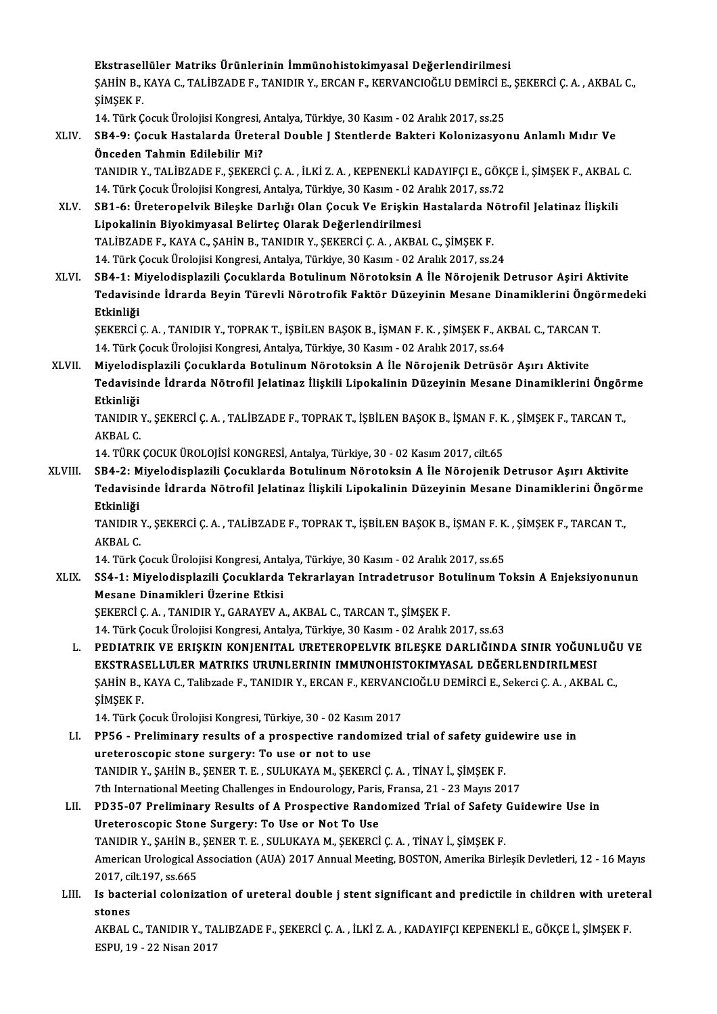Ekstrasellüler Matriks Ürünlerinin İmmünohistokimyasal Değerlendirilmesi<br>SAHİN B. KAVA C. TALİPZADE E. TANIDIR V. ERÇAN E. KERVANÇIQĞLU DEMİRCİ E. Ekstrasellüler Matriks Ürünlerinin İmmünohistokimyasal Değerlendirilmesi<br>ŞAHİN B., KAYA C., TALİBZADE F., TANIDIR Y., ERCAN F., KERVANCIOĞLU DEMİRCİ E., ŞEKERCİ Ç. A. , AKBAL C.,<br>SİMSEK E Ekstrasel<br>ŞAHİN B., |<br>ŞİMŞEK F. ŞAHİN B., KAYA C., TALİBZADE F., TANIDIR Y., ERCAN F., KERVANCIOĞLU DEMİRCİ E.<br>ŞİMŞEK F.<br>14. Türk Çocuk Ürolojisi Kongresi, Antalya, Türkiye, 30 Kasım - 02 Aralık 2017, ss.25<br>SB4 .0. Cosuk Hastalarda Üretaral Doubla I Stan

14. Türk Çocuk Ürolojisi Kongresi, Antalya, Türkiye, 30 Kasım - 02 Aralık 2017, ss.25

ŞİMŞEK F.<br>14. Türk Çocuk Ürolojisi Kongresi, Antalya, Türkiye, 30 Kasım - 02 Aralık 2017, ss.25<br>XLIV. SB4-9: Çocuk Hastalarda Üreteral Double J Stentlerde Bakteri Kolonizasyonu Anlamlı Mıdır Ve<br>Önceden Tahmin Edilebili SB4-9: Çocuk Hastalarda Üreteral Double J Stentlerde Bakteri Kolonizasyonu Anlamlı Mıdır Ve<br>Önceden Tahmin Edilebilir Mi?<br>TANIDIR Y., TALİBZADE F., ŞEKERCİ Ç.A. , İLKİ Z.A. , KEPENEKLİ KADAYIFÇI E., GÖKÇE İ., ŞİMŞEK F., AK

Önceden Tahmin Edilebilir Mi?<br>TANIDIR Y., TALİBZADE F., ŞEKERCİ Ç. A. , İLKİ Z. A. , KEPENEKLİ KADAYIFÇI E., GÖKO<br>14. Türk Çocuk Ürolojisi Kongresi, Antalya, Türkiye, 30 Kasım - 02 Aralık 2017, ss.72<br>SP1. 6. Ürotoropelyik TANIDIR Y., TALİBZADE F., ŞEKERCİ Ç. A. , İLKİ Z. A. , KEPENEKLİ KADAYIFÇI E., GÖKÇE İ., ŞİMŞEK F., AKBAL<br>14. Türk Çocuk Ürolojisi Kongresi, Antalya, Türkiye, 30 Kasım - 02 Aralık 2017, ss.72<br>XLV. SB1-6: Üreteropelvik

- 14. Türk Çocuk Ürolojisi Kongresi, Antalya, Türkiye, 30 Kasım 02 Aralık 2017, ss.72<br>SB1-6: Üreteropelvik Bileşke Darlığı Olan Çocuk Ve Erişkin Hastalarda Nöt<br>Lipokalinin Biyokimyasal Belirteç Olarak Değerlendirilmesi<br>TAL SB1-6: Üreteropelvik Bileşke Darlığı Olan Çocuk Ve Erişkin Hastalarda N<br>Lipokalinin Biyokimyasal Belirteç Olarak Değerlendirilmesi<br>TALİBZADE F., KAYA C., ŞAHİN B., TANIDIR Y., ŞEKERCİ Ç. A. , AKBAL C., ŞİMŞEK F.<br>14. Türk C 14.TürkÇocukÜrolojisiKongresi,Antalya,Türkiye,30Kasım-02Aralık2017, ss.24
- XLVI. SB4-1: Miyelodisplazili Çocuklarda Botulinum Nörotoksin A İle Nörojenik Detrusor Aşiri Aktivite 14. Türk Çocuk Ürolojisi Kongresi, Antalya, Türkiye, 30 Kasım - 02 Aralık 2017, ss.24<br>SB4-1: Miyelodisplazili Çocuklarda Botulinum Nörotoksin A İle Nörojenik Detrusor Aşiri Aktivite<br>Tedavisinde İdrarda Beyin Türevli Nörotr SB4-1: M<br>Tedavisi<br>Etkinliği<br>SEKERCİ Tedavisinde İdrarda Beyin Türevli Nörotrofik Faktör Düzeyinin Mesane Dinamiklerini Öngö<br>Etkinliği<br>ŞEKERCİ Ç. A. , TANIDIR Y., TOPRAK T., İŞBİLEN BAŞOK B., İŞMAN F. K. , ŞİMŞEK F., AKBAL C., TARCAN T.<br>14. Türk Cosuk Üreleji

Etkinliği<br>ŞEKERCİ Ç. A. , TANIDIR Y., TOPRAK T., İŞBİLEN BAŞOK B., İŞMAN F. K. , ŞİMŞEK F., AKBAL C., TARCAN T.<br>14. Türk Çocuk Ürolojisi Kongresi, Antalya, Türkiye, 30 Kasım - 02 Aralık 2017, ss.64

XLVII. Miyelodisplazili Çocuklarda Botulinum Nörotoksin A İle Nörojenik Detrüsör Aşırı Aktivite 14. Türk Çocuk Ürolojisi Kongresi, Antalya, Türkiye, 30 Kasım - 02 Aralık 2017, ss.64<br>Miyelodisplazili Çocuklarda Botulinum Nörotoksin A İle Nörojenik Detrüsör Aşırı Aktivite<br>Tedavisinde İdrarda Nötrofil Jelatinaz İlişkili Miyelodi<br>Tedavisi<br>Etkinliği<br>TANIDIB Tedavisinde İdrarda Nötrofil Jelatinaz İlişkili Lipokalinin Düzeyinin Mesane Dinamiklerini Öngör<br>Etkinliği<br>TANIDIR Y., ŞEKERCİ Ç. A. , TALİBZADE F., TOPRAK T., İŞBİLEN BAŞOK B., İŞMAN F. K. , ŞİMŞEK F., TARCAN T.,<br>AKRAL C

Etkinliği<br>TANIDIR Y., ŞEKERCİ Ç. A. , TALİBZADE F., TOPRAK T., İŞBİLEN BAŞOK B., İŞMAN F. K. , ŞİMŞEK F., TARCAN T.,<br>AKBAL C.

14. TÜRK ÇOCUK ÜROLOJİSİ KONGRESİ, Antalya, Türkiye, 30 - 02 Kasım 2017, cilt.65

XLVIII. SB4-2: Miyelodisplazili Çocuklarda Botulinum Nörotoksin A İle Nörojenik Detrusor Aşırı Aktivite 14. TÜRK ÇOCUK ÜROLOJİSİ KONGRESİ, Antalya, Türkiye, 30 - 02 Kasım 2017, cilt.65<br>SB4-2: Miyelodisplazili Çocuklarda Botulinum Nörotoksin A İle Nörojenik Detrusor Aşırı Aktivite<br>Tedavisinde İdrarda Nötrofil Jelatinaz İlişki SB4-2: M<br>Tedavisi<br>Etkinliği<br>TANIDIP Tedavisinde İdrarda Nötrofil Jelatinaz İlişkili Lipokalinin Düzeyinin Mesane Dinamiklerini Öngör<br>Etkinliği<br>TANIDIR Y., ŞEKERCİ Ç. A. , TALİBZADE F., TOPRAK T., İŞBİLEN BAŞOK B., İŞMAN F. K. , ŞİMŞEK F., TARCAN T.,<br>AKRAL C

Etkinliği<br>TANIDIR Y., ŞEKERCİ Ç. A. , TALİBZADE F., TOPRAK T., İŞBİLEN BAŞOK B., İŞMAN F. K. , ŞİMŞEK F., TARCAN T.,<br>AKBAL C. TANIDIR Y., ŞEKERCİ Ç. A. , TALİBZADE F., TOPRAK T., İŞBİLEN BAŞOK B., İŞMAN F. K.<br>AKBAL C.<br>14. Türk Çocuk Ürolojisi Kongresi, Antalya, Türkiye, 30 Kasım - 02 Aralık 2017, ss.65<br>SS4. 1. Miyalodianlarili Cosuklanda Takrarla

## XLIX. SS4-1:Miyelodisplazili Çocuklarda Tekrarlayan Intradetrusor BotulinumToksin A Enjeksiyonunun 14. Türk Çocuk Ürolojisi Kongresi, Anta<br>SS4-1: Miyelodisplazili Çocuklarda<br>Mesane Dinamikleri Üzerine Etkisi<br>SEKERÇİ GAL TANIDIR V. GARAYEVA

ŞEKERCİÇ. A., TANIDIR Y., GARAYEV A., AKBAL C., TARCAN T., ŞİMŞEK F.

14.TürkÇocukÜrolojisiKongresi,Antalya,Türkiye,30Kasım-02Aralık2017, ss.63

L. PEDIATRIK VE ERIŞKIN KONJENITAL ÜRETEROPELVIK BILEŞKE DARLIĞINDA SINIR YOĞUNLUĞU VE 14. Türk Çocuk Ürolojisi Kongresi, Antalya, Türkiye, 30 Kasım - 02 Aralık 2017, ss.63<br>PEDIATRIK VE ERIŞKIN KONJENITAL URETEROPELVIK BILEŞKE DARLIĞINDA SINIR YOĞUNL<br>EKSTRASELLULER MATRIKS URUNLERININ IMMUNOHISTOKIMYASAL DEĞ PEDIATRIK VE ERIŞKIN KONJENITAL URETEROPELVIK BILEŞKE DARLIĞINDA SINIR YOĞUNLUĞI<br>EKSTRASELLULER MATRIKS URUNLERININ IMMUNOHISTOKIMYASAL DEĞERLENDIRILMESI<br>ŞAHİN B., KAYA C., Talibzade F., TANIDIR Y., ERCAN F., KERVANCIOĞLU EKSTRAS<br>ŞAHİN B., I<br>ŞİMŞEK F.<br>14 Türk C 5AHİN B., KAYA C., Talibzade F., TANIDIR Y., ERCAN F., KERVANO<br>ŞİMŞEK F.<br>14. Türk Çocuk Ürolojisi Kongresi, Türkiye, 30 - 02 Kasım 2017<br>PRES - Proliminary results of a prospective randomized

- SİMŞEK F.<br>14. Türk Çocuk Ürolojisi Kongresi, Türkiye, 30 02 Kasım 2017<br>LI. PP56 Preliminary results of a prospective randomized trial of safety guidewire use in<br>ureteroscopic stone surgery: To use or not to use 14. Türk Çocuk Ürolojisi Kongresi, Türkiye, 30 - 02 Kasım<br>PP56 - Preliminary results of a prospective randor<br>ureteroscopic stone surgery: To use or not to use<br>TANIDIR V. SAHİN R. SENER T. F. SULUKAYA M. SEKER TANIDIRY.,ŞAHİNB.,ŞENERT.E. ,SULUKAYAM.,ŞEKERCİÇ.A. ,TİNAYİ.,ŞİMŞEKF. ureteroscopic stone surgery: To use or not to use<br>TANIDIR Y., ŞAHİN B., ŞENER T. E. , SULUKAYA M., ŞEKERCİ Ç. A. , TİNAY İ., ŞİMŞEK F.<br>7th International Meeting Challenges in Endourology, Paris, Fransa, 21 - 23 Mayıs 2017<br> TANIDIR Y., ŞAHİN B., ŞENER T. E. , SULUKAYA M., ŞEKERCİ Ç. A. , TİNAY İ., ŞİMŞEK F.<br>7th International Meeting Challenges in Endourology, Paris, Fransa, 21 - 23 Mayıs 2017<br>LII. PD35-07 Preliminary Results of A Prospective
- Tth International Meeting Challenges in Endourology, Paris<br>PD35-07 Preliminary Results of A Prospective Rand<br>Ureteroscopic Stone Surgery: To Use or Not To Use<br>TANIDIR V SAHIN R SENERT E SULUKAYA M SEKERCI PD35-07 Preliminary Results of A Prospective Randomized Trial of Safety<br>Ureteroscopic Stone Surgery: To Use or Not To Use<br>TANIDIR Y., ŞAHİN B., ŞENER T. E. , SULUKAYA M., ŞEKERCİ Ç. A. , TİNAY İ., ŞİMŞEK F.<br>American Uralag Ureteroscopic Stone Surgery: To Use or Not To Use<br>TANIDIR Y., ŞAHİN B., ŞENER T. E. , SULUKAYA M., ŞEKERCİ Ç. A. , TİNAY İ., ŞİMŞEK F.<br>American Urological Association (AUA) 2017 Annual Meeting, BOSTON, Amerika Birleşik Dev TANIDIR Y., ŞAHİN B., ŞENER T. E., SULUKAYA M., ŞEKERCİ Ç. A., TİNAY İ., ŞİMŞEK F. American Urological Association (AUA) 2017 Annual Meeting, BOSTON, Amerika Birleşik Devletleri, 12 - 16 Mayıs<br>2017, cilt.197, ss.665<br>LIII. Is bacterial colonization of ureteral double j stent significant and predictile in
- 2017, ci<br>Is bacte<br>stones Is bacterial colonization of ureteral double j stent significant and predictile in children with urete<br>stones<br>AKBAL C., TANIDIR Y., TALIBZADE F., ŞEKERCİ Ç. A. , İLKİ Z. A. , KADAYIFÇI KEPENEKLİ E., GÖKÇE İ., ŞİMŞEK F.<br>ESP

stones<br>AKBAL C., TANIDIR Y., TA<br>ESPU, 19 - 22 Nisan 2017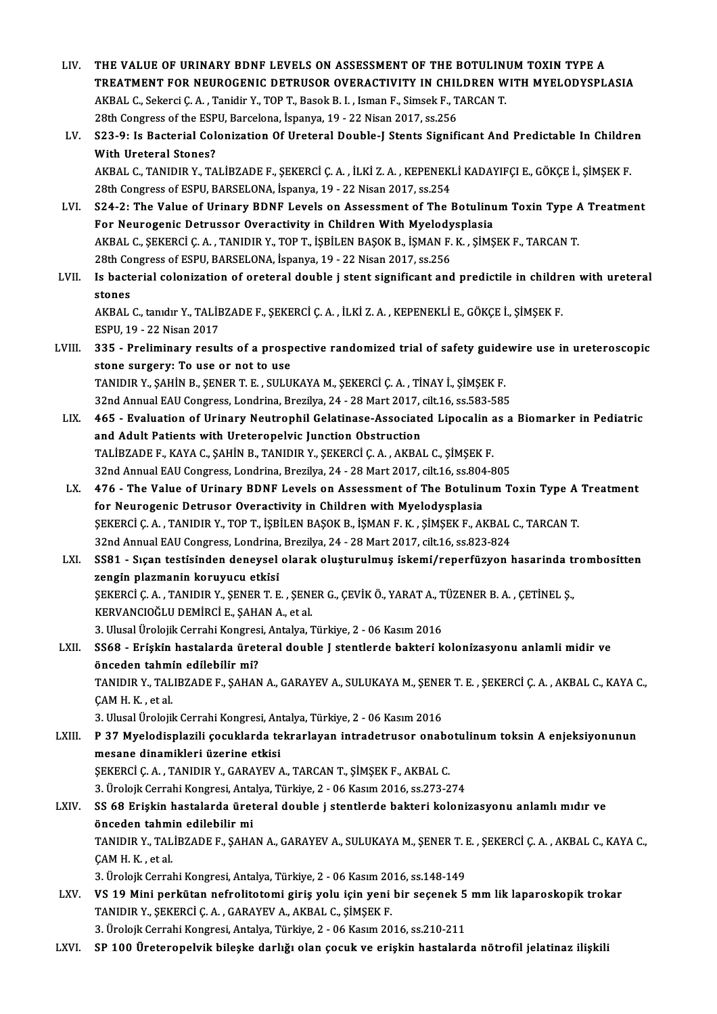THE VALUE OF URINARY BDNF LEVELS ON ASSESSMENT OF THE BOTULINUM TOXIN TYPE A<br>TREATMENT FOR NEUROGENIC DETRUSOR OVERACTIVITY IN CHILDREN WITH MYELODYSPLASIA<br>AKRAL C. Sekarsi C. A., Tonidin V. TOR T. Besel: B. J. Jaman E. Si THE VALUE OF URINARY BDNF LEVELS ON ASSESSMENT OF THE BOTULINI<br>TREATMENT FOR NEUROGENIC DETRUSOR OVERACTIVITY IN CHILDREN W<br>AKBAL C., Sekerci Ç. A. , Tanidir Y., TOP T., Basok B. I. , Isman F., Simsek F., TARCAN T.<br>28th Co TREATMENT FOR NEUROGENIC DETRUSOR OVERACTIVITY IN CHIL<br>AKBAL C., Sekerci Ç. A. , Tanidir Y., TOP T., Basok B. I. , Isman F., Simsek F., T<br>28th Congress of the ESPU, Barcelona, İspanya, 19 - 22 Nisan 2017, ss.256<br>522. O. J. AKBAL C., Sekerci Ç. A. , Tanidir Y., TOP T., Basok B. I. , Isman F., Simsek F., TARCAN T.<br>28th Congress of the ESPU, Barcelona, İspanya, 19 - 22 Nisan 2017, ss.256<br>LV. S23-9: Is Bacterial Colonization Of Ureteral Double-J 28th Congress of the ESPU, Barcelona, İspanya, 19 - 22 Nisan 2017, ss.256 S23-9: Is Bacterial Colonization Of Ureteral Double-J Stents Significant And Predictable In Childre<br>With Ureteral Stones?<br>AKBAL C., TANIDIR Y., TALİBZADE F., ŞEKERCİ Ç. A. , İLKİ Z. A. , KEPENEKLİ KADAYIFÇI E., GÖKÇE İ., Ş With Ureteral Stones?<br>AKBAL C., TANIDIR Y., TALİBZADE F., ŞEKERCİ Ç. A. , İLKİ Z. A. , KEPENEKI<br>28th Congress of ESPU, BARSELONA, İspanya, 19 - 22 Nisan 2017, ss.254<br>S24. 2. The Value of Urinary PDNE Lavels en Assessment o AKBAL C., TANIDIR Y., TALİBZADE F., ŞEKERCİ Ç. A. , İLKİ Z. A. , KEPENEKLİ KADAYIFÇI E., GÖKÇE İ., ŞİMŞEK F.<br>28th Congress of ESPU, BARSELONA, İspanya, 19 - 22 Nisan 2017, ss.254<br>LVI. S24-2: The Value of Urinary BDNF Level 28th Congress of ESPU, BARSELONA, İspanya, 19 - 22 Nisan 2017, ss.254<br>S24-2: The Value of Urinary BDNF Levels on Assessment of The Botulinu<br>For Neurogenic Detrussor Overactivity in Children With Myelodysplasia<br>AKRAL G. SEK S24-2: The Value of Urinary BDNF Levels on Assessment of The Botulinum Toxin Type A<br>For Neurogenic Detrussor Overactivity in Children With Myelodysplasia<br>AKBAL C., ŞEKERCİ Ç.A. , TANIDIR Y., TOP T., İŞBİLEN BAŞOK B., İŞMAN For Neurogenic Detrussor Overactivity in Children With Myelody<br>AKBAL C., ŞEKERCİ Ç. A. , TANIDIR Y., TOP T., İŞBİLEN BAŞOK B., İŞMAN F.<br>28th Congress of ESPU, BARSELONA, İspanya, 19 - 22 Nisan 2017, ss.256<br>Is bastanial sel AKBAL C., ŞEKERCİ Ç. A. , TANIDIR Y., TOP T., İŞBİLEN BAŞOK B., İŞMAN F. K. , ŞİMŞEK F., TARCAN T.<br>28th Congress of ESPU, BARSELONA, İspanya, 19 - 22 Nisan 2017, ss.256<br>LVII. Is bacterial colonization of oreteral double j 28th Co<br>Is bacte<br>stones<br>AKRAI Is bacterial colonization of oreteral double j stent significant and predictile in childre<br>stones<br>AKBAL C., tanıdır Y., TALİBZADE F., ŞEKERCİ Ç. A. , İLKİ Z. A. , KEPENEKLİ E., GÖKÇE İ., ŞİMŞEK F.<br>ESPIL 19., 22 Nisan 2017 stones<br>AKBAL C., tanıdır Y., TALİE<br>ESPU, 19 - 22 Nisan 2017<br>225 - Preliminery resul AKBAL C., tanıdır Y., TALİBZADE F., ŞEKERCİ Ç. A. , İLKİ Z. A. , KEPENEKLİ E., GÖKÇE İ., ŞİMŞEK F.<br>ESPU, 19 - 22 Nisan 2017<br>LVIII. 335 - Preliminary results of a prospective randomized trial of safety guidewire use in uret ESPU, 19 - 22 Nisan 2017<br>335 - Preliminary results of a prosp<br>stone surgery: To use or not to use<br>TANIDIB V. SAHIN B. SENER T. E. SULU 335 - Preliminary results of a prospective randomized trial of safety guide<br>stone surgery: To use or not to use<br>TANIDIR Y., ŞAHİN B., ŞENER T. E. , SULUKAYA M., ŞEKERCİ Ç. A. , TİNAY İ., ŞİMŞEK F.<br>22nd Annual FAU Congress stone surgery: To use or not to use<br>TANIDIR Y., ŞAHİN B., ŞENER T. E. , SULUKAYA M., ŞEKERCİ Ç. A. , TİNAY İ., ŞİMŞEK F.<br>32nd Annual EAU Congress, Londrina, Brezilya, 24 - 28 Mart 2017, cilt.16, ss.583-585<br>465 - Evaluation TANIDIR Y., ŞAHİN B., ŞENER T. E. , SULUKAYA M., ŞEKERCİ Ç. A. , TİNAY İ., ŞİMŞEK F.<br>32nd Annual EAU Congress, Londrina, Brezilya, 24 - 28 Mart 2017, cilt.16, ss.583-585<br>LIX. 465 - Evaluation of Urinary Neutrophil Gelatina 32nd Annual EAU Congress, Londrina, Brezilya, 24 - 28 Mart 2017,<br>465 - Evaluation of Urinary Neutrophil Gelatinase-Associate<br>and Adult Patients with Ureteropelvic Junction Obstruction<br>TALIPZADE E, KAVA C, SAHIN P, TANIDIP TALİBZADE F., KAYA C., ŞAHİN B., TANIDIR Y., ŞEKERCİ Ç. A., AKBAL C., ŞİMŞEK F. and Adult Patients with Ureteropelvic Junction Obstruction<br>TALİBZADE F., KAYA C., ŞAHİN B., TANIDIR Y., ŞEKERCİ Ç. A. , AKBAL C., ŞİMŞEK F.<br>32nd Annual EAU Congress, Londrina, Brezilya, 24 - 28 Mart 2017, cilt.16, ss.804-8 TALİBZADE F., KAYA C., ŞAHİN B., TANIDIR Y., ŞEKERCİ Ç. A. , AKBAL C., ŞİMŞEK F.<br>32nd Annual EAU Congress, Londrina, Brezilya, 24 - 28 Mart 2017, cilt.16, ss.804-805<br>LX. 476 - The Value of Urinary BDNF Levels on Assess 32nd Annual EAU Congress, Londrina, Brezilya, 24 - 28 Mart 2017, cilt.16, ss.804<br>476 - The Value of Urinary BDNF Levels on Assessment of The Botulin<br>for Neurogenic Detrusor Overactivity in Children with Myelodysplasia<br>SEKE 476 - The Value of Urinary BDNF Levels on Assessment of The Botulinum Toxin Type A<br>for Neurogenic Detrusor Overactivity in Children with Myelodysplasia<br>ŞEKERCİ Ç. A. , TANIDIR Y., TOP T., İŞBİLEN BAŞOK B., İŞMAN F. K. , Şİ for Neurogenic Detrusor Overactivity in Children with Myelodysplasia<br>\$EKERCİ Ç. A. , TANIDIR Y., TOP T., İ\$BİLEN BAŞOK B., İ\$MAN F. K. , ŞİM\$EK F., AKBAL C., TARCAN T.<br>32nd Annual EAU Congress, Londrina, Brezilya, 24 - 28 ŞEKERCİ Ç. A. , TANIDIR Y., TOP T., İŞBİLEN BAŞOK B., İŞMAN F. K. , ŞİMŞEK F., AKBAL C., TARCAN T.<br>32nd Annual EAU Congress, Londrina, Brezilya, 24 - 28 Mart 2017, cilt.16, ss.823-824<br>LXI. SS81 - Sıçan testisinden dene 32nd Annual EAU Congress, Londrina,<br>SS81 - Sıçan testisinden deneysel<br>zengin plazmanin koruyucu etkisi<br>SEKERCİ CA - TANIDIR V. SENER T. E SS81 - Sıçan testisinden deneysel olarak oluşturulmuş iskemi/reperfüzyon hasarında tı<br>zengin plazmanın koruyucu etkisi<br>ŞEKERCİ Ç. A. , TANIDIR Y., ŞENER T. E. , ŞENER G., ÇEVİK Ö., YARAT A., TÜZENER B. A. , ÇETİNEL Ş.,<br>KER zengin plazmanin koruyucu etkisi<br>ŞEKERCİ Ç. A. , TANIDIR Y., ŞENER T. E. , ŞENER G., ÇEVİK Ö., YARAT A., TÜZENER B. A. , ÇETİNEL Ş.,<br>KERVANCIOĞLU DEMİRCİ E., ŞAHAN A., et al. ŞEKERCİ Ç. A. , TANIDIR Y., ŞENER T. E. , ŞENER G., ÇEVİK Ö., YARAT A., T<br>KERVANCIOĞLU DEMİRCİ E., ŞAHAN A., et al.<br>3. Ulusal Ürolojik Cerrahi Kongresi, Antalya, Türkiye, 2 - 06 Kasım 2016<br>SS68 - Eriskin bastalarda ürətərə LXII. SS68 - Erişkin hastalarda üreteral double J stentlerde bakteri kolonizasyonu anlamli midir ve 3. Ulusal Ürolojik Cerrahi Kongres<br>SS68 - Erişkin hastalarda üret<br>önceden tahmin edilebilir mi?<br>TANIDIR V. TALIRZADEE, SAHAN TANIDIR Y., TALIBZADE F., ŞAHAN A., GARAYEV A., SULUKAYA M., ŞENER T. E. , ŞEKERCİ Ç. A. , AKBAL C., KAYA C.,<br>ÇAM H. K. , et al. önceden tahmin edilebilir mi? TANIDIR Y., TALIBZADE F., ŞAHAN A., GARAYEV A., SULUKAYA M., ŞENE<br>ÇAM H. K. , et al.<br>3. Ulusal Ürolojik Cerrahi Kongresi, Antalya, Türkiye, 2 - 06 Kasım 2016<br>B. 37. Myalodisplarili, sosuklarda takrarlayan intradettusar, an LXIII. P 37 Myelodisplazili çocuklarda tekrarlayan intradetrusor onabotulinum toksin A enjeksiyonunun<br>mesane dinamikleri üzerine etkisi 3. Ulusal Ürolojik Cerrahi Kongresi, An<br>P 37 Myelodisplazili çocuklarda te<br>mesane dinamikleri üzerine etkisi<br>SEKERCİ C A - TANIDIR Y - CARAVEV / ŞEKERCİÇ.A., TANIDIR Y., GARAYEV A., TARCAN T., ŞİMŞEK F., AKBAL C. mesane dinamikleri üzerine etkisi<br>ŞEKERCİ Ç. A. , TANIDIR Y., GARAYEV A., TARCAN T., ŞİMŞEK F., AKBAL C.<br>3. Ürolojk Cerrahi Kongresi, Antalya, Türkiye, 2 - 06 Kasım 2016, ss.273-274<br>SS.69 Eriskin bastalarda üretaral dauble LXIV. SS 68 Erişkin hastalarda üreteral double j stentlerde bakteri kolonizasyonu anlamlımıdır ve 3. Ürolojk Cerrahi Kongresi, Anta<br>SS 68 Erişkin hastalarda üret<br>önceden tahmin edilebilir mi<br>TANIDIR V. TALİRZADE E. SAHA SS 68 Erişkin hastalarda üreteral double j stentlerde bakteri kolonizasyonu anlamlı mıdır ve<br>önceden tahmin edilebilir mi<br>TANIDIR Y., TALİBZADE F., ŞAHAN A., GARAYEV A., SULUKAYA M., ŞENER T. E. , ŞEKERCİ Ç. A. , AKBAL C., ÇAM H. K. , et al.<br>3. Ürolojk Cerrahi Kongresi, Antalya, Türkiye, 2 - 06 Kasım 2016, ss.148-149 TANIDIR Y., TALİBZADE F., ŞAHAN A., GARAYEV A., SULUKAYA M., ŞENER T. I<br>ÇAM H. K. , et al.<br>3. Ürolojk Cerrahi Kongresi, Antalya, Türkiye, 2 - 06 Kasım 2016, ss.148-149<br>VS.19 Mini perkütan nefrelitetemi giriş yely isin yeni CAM H. K. , et al.<br>3. Ürolojk Cerrahi Kongresi, Antalya, Türkiye, 2 - 06 Kasım 2016, ss.148-149<br>LXV. VS 19 Mini perkütan nefrolitotomi giriş yolu için yeni bir seçenek 5 mm lik laparoskopik trokar<br>TANIDIR V. SEKERCİ C. 3. Ürolojk Cerrahi Kongresi, Antalya, Türkiye, 2 - 06 Kasım 20<br>**VS 19 Mini perkütan nefrolitotomi giriş yolu için yeni**<br>TANIDIR Y., ŞEKERCİ Ç. A. , GARAYEV A., AKBAL C., ŞİMŞEK F.<br><sup>2. Ürolojk Corrabi Kongresi, Antalya Türk</sup> VS 19 Mini perkütan nefrolitotomi giriş yolu için yeni bir seçenek 5<br>TANIDIR Y., ŞEKERCİ Ç. A. , GARAYEV A., AKBAL C., ŞİMŞEK F.<br>3. Ürolojk Cerrahi Kongresi, Antalya, Türkiye, 2 - 06 Kasım 2016, ss.210-211<br>SP 100 Ürotoropo TANIDIR Y., ŞEKERCİ Ç. A. , GARAYEV A., AKBAL C., ŞİMŞEK F.<br>3. Ürolojk Cerrahi Kongresi, Antalya, Türkiye, 2 - 06 Kasım 2016, ss.210-211<br>LXVI. SP 100 Üreteropelvik bileşke darlığı olan çocuk ve erişkin hastalarda nötro

LIV. THE VALUE OF URINARY BDNF LEVELS ON ASSESSMENT OF THE BOTULINUMTOXIN TYPE A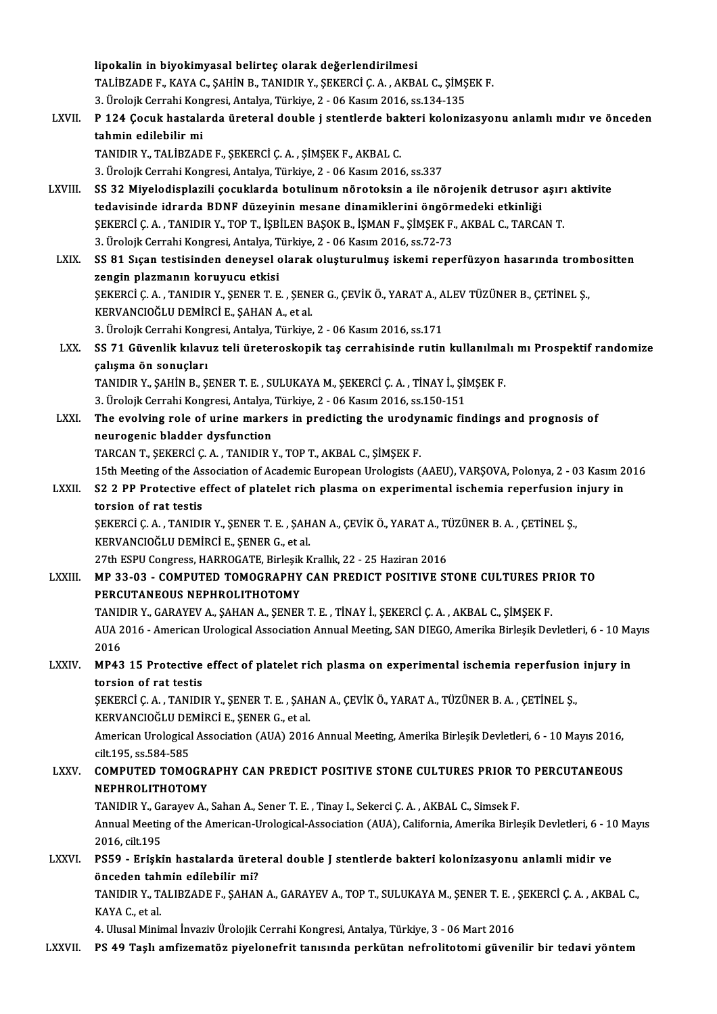|               | lipokalin in biyokimyasal belirteç olarak değerlendirilmesi                                                                                                                       |
|---------------|-----------------------------------------------------------------------------------------------------------------------------------------------------------------------------------|
|               | TALİBZADE F., KAYA C., ŞAHİN B., TANIDIR Y., ŞEKERCİ Ç. A., AKBAL C., ŞİMŞEK F.                                                                                                   |
|               | 3. Ürolojk Cerrahi Kongresi, Antalya, Türkiye, 2 - 06 Kasım 2016, ss.134-135                                                                                                      |
| LXVII.        | P 124 Çocuk hastalarda üreteral double j stentlerde bakteri kolonizasyonu anlamlı mıdır ve önceden                                                                                |
|               | tahmin edilebilir mi                                                                                                                                                              |
|               | TANIDIR Y., TALİBZADE F., ŞEKERCİ Ç. A., ŞİMŞEK F., AKBAL C.                                                                                                                      |
|               | 3. Ürolojk Cerrahi Kongresi, Antalya, Türkiye, 2 - 06 Kasım 2016, ss.337                                                                                                          |
| LXVIII.       | SS 32 Miyelodisplazili çocuklarda botulinum nörotoksin a ile nörojenik detrusor aşırı aktivite                                                                                    |
|               | tedavisinde idrarda BDNF düzeyinin mesane dinamiklerini öngörmedeki etkinliği                                                                                                     |
|               | ŞEKERCİ Ç. A., TANIDIR Y., TOP T., İŞBİLEN BAŞOK B., İŞMAN F., ŞİMŞEK F., AKBAL C., TARCAN T.                                                                                     |
|               | 3. Ürolojk Cerrahi Kongresi, Antalya, Türkiye, 2 - 06 Kasım 2016, ss.72-73                                                                                                        |
| <b>LXIX</b>   | SS 81 Siçan testisinden deneysel olarak oluşturulmuş iskemi reperfüzyon hasarında trombositten                                                                                    |
|               | zengin plazmanın koruyucu etkisi                                                                                                                                                  |
|               | ŞEKERCİ Ç. A., TANIDIR Y., ŞENER T. E., ŞENER G., ÇEVİK Ö., YARAT A., ALEV TÜZÜNER B., ÇETİNEL Ş.,                                                                                |
|               | KERVANCIOĞLU DEMİRCİ E., ŞAHAN A., et al.                                                                                                                                         |
| LXX.          | 3. Ürolojk Cerrahi Kongresi, Antalya, Türkiye, 2 - 06 Kasım 2016, ss.171<br>SS 71 Güvenlik kılavuz teli üreteroskopik taş cerrahisinde rutin kullanılmalı mı Prospektif randomize |
|               | çalışma ön sonuçları                                                                                                                                                              |
|               | TANIDIR Y., ŞAHİN B., ŞENER T. E., SULUKAYA M., ŞEKERCİ Ç. A., TİNAY İ., ŞİMŞEK F.                                                                                                |
|               | 3. Ürolojk Cerrahi Kongresi, Antalya, Türkiye, 2 - 06 Kasım 2016, ss.150-151                                                                                                      |
| <b>LXXI</b>   | The evolving role of urine markers in predicting the urodynamic findings and prognosis of                                                                                         |
|               | neurogenic bladder dysfunction                                                                                                                                                    |
|               | TARCAN T., ŞEKERCİ Ç. A., TANIDIR Y., TOP T., AKBAL C., ŞİMŞEK F.                                                                                                                 |
|               | 15th Meeting of the Association of Academic European Urologists (AAEU), VARŞOVA, Polonya, 2 - 03 Kasım 2016                                                                       |
| <b>LXXII.</b> | S2 2 PP Protective effect of platelet rich plasma on experimental ischemia reperfusion injury in                                                                                  |
|               | torsion of rat testis                                                                                                                                                             |
|               | ŞEKERCİ Ç. A., TANIDIR Y., ŞENER T. E., ŞAHAN A., ÇEVİK Ö., YARAT A., TÜZÜNER B. A., ÇETİNEL Ş.,                                                                                  |
|               | KERVANCIOĞLU DEMİRCİ E., ŞENER G., et al.                                                                                                                                         |
|               | 27th ESPU Congress, HARROGATE, Birleşik Krallık, 22 - 25 Haziran 2016                                                                                                             |
| <b>LXXIII</b> | MP 33-03 - COMPUTED TOMOGRAPHY CAN PREDICT POSITIVE STONE CULTURES PRIOR TO                                                                                                       |
|               | PERCUTANEOUS NEPHROLITHOTOMY                                                                                                                                                      |
|               | TANIDIR Y., GARAYEV A., ŞAHAN A., ŞENER T. E., TİNAY İ., ŞEKERCİ Ç. A., AKBAL C., ŞİMŞEK F.                                                                                       |
|               | AUA 2016 - American Urological Association Annual Meeting, SAN DIEGO, Amerika Birleşik Devletleri, 6 - 10 Mayıs                                                                   |
|               | 2016                                                                                                                                                                              |
| <b>LXXIV</b>  | MP43 15 Protective effect of platelet rich plasma on experimental ischemia reperfusion injury in                                                                                  |
|               | torsion of rat testis                                                                                                                                                             |
|               | ŞEKERCİ Ç. A., TANIDIR Y., ŞENER T. E., ŞAHAN A., ÇEVİK Ö., YARAT A., TÜZÜNER B. A., ÇETİNEL Ş.,<br>KERVANCIOĞLU DEMİRCİ E., ŞENER G., et al.                                     |
|               | American Urological Association (AUA) 2016 Annual Meeting, Amerika Birleşik Devletleri, 6 - 10 Mayıs 2016,                                                                        |
|               | cilt 195, ss 584-585                                                                                                                                                              |
| <b>LXXV</b>   | COMPUTED TOMOGRAPHY CAN PREDICT POSITIVE STONE CULTURES PRIOR TO PERCUTANEOUS                                                                                                     |
|               | NEPHROLITHOTOMY                                                                                                                                                                   |
|               | TANIDIR Y., Garayev A., Sahan A., Sener T. E., Tinay I., Sekerci C. A., AKBAL C., Simsek F.                                                                                       |
|               | Annual Meeting of the American-Urological-Association (AUA), California, Amerika Birleşik Devletleri, 6 - 10 Mayıs                                                                |
|               | 2016, cilt 195                                                                                                                                                                    |
| <b>LXXVI.</b> | PS59 - Erişkin hastalarda üreteral double J stentlerde bakteri kolonizasyonu anlamli midir ve                                                                                     |
|               | önceden tahmin edilebilir mi?                                                                                                                                                     |
|               | TANIDIR Y., TALIBZADE F., ŞAHAN A., GARAYEV A., TOP T., SULUKAYA M., ŞENER T. E. , ŞEKERCİ Ç. A. , AKBAL C.,                                                                      |
|               | KAYA C, et al.                                                                                                                                                                    |
|               | 4. Ulusal Minimal İnvaziv Ürolojik Cerrahi Kongresi, Antalya, Türkiye, 3 - 06 Mart 2016                                                                                           |
| LXXVII.       | PS 49 Taşlı amfizematöz piyelonefrit tanısında perkütan nefrolitotomi güvenilir bir tedavi yöntem                                                                                 |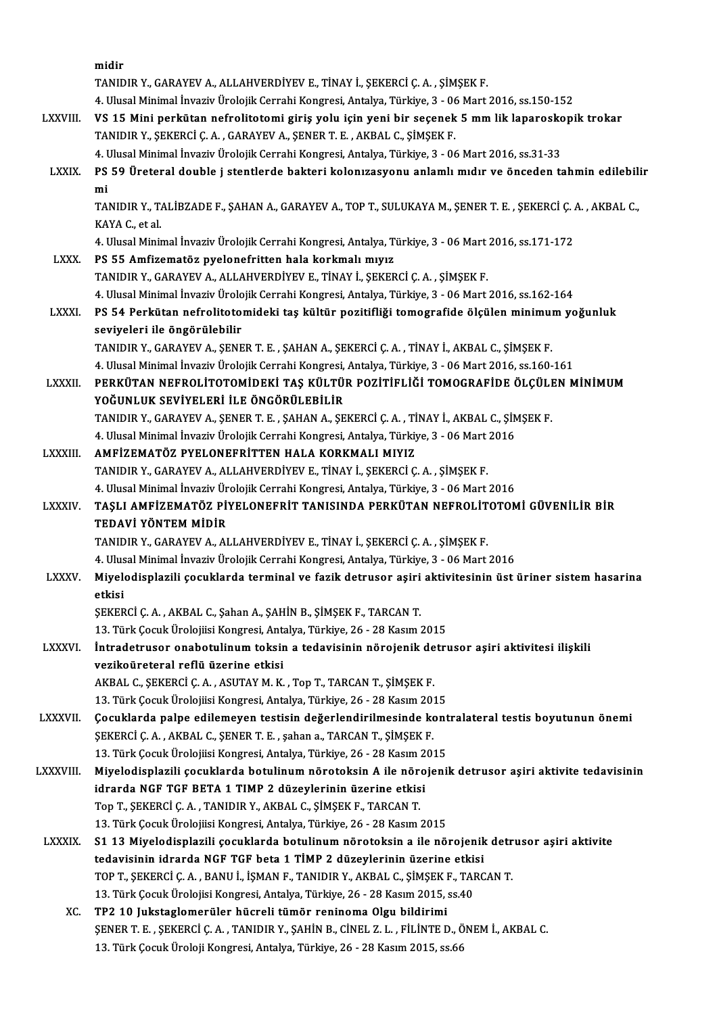|                | midir                                                                                                                                                                                              |
|----------------|----------------------------------------------------------------------------------------------------------------------------------------------------------------------------------------------------|
|                | TANIDIR Y., GARAYEV A., ALLAHVERDİYEV E., TİNAY İ., ŞEKERCİ Ç. A. , ŞİMŞEK F.                                                                                                                      |
|                | 4. Ulusal Minimal İnvaziv Ürolojik Cerrahi Kongresi, Antalya, Türkiye, 3 - 06 Mart 2016, ss.150-152                                                                                                |
| <b>LXXVIII</b> | VS 15 Mini perkütan nefrolitotomi giriş yolu için yeni bir seçenek 5 mm lik laparoskopik trokar                                                                                                    |
|                | TANIDIR Y., ŞEKERCİ Ç. A., GARAYEV A., ŞENER T. E., AKBAL C., ŞİMŞEK F.                                                                                                                            |
|                | 4. Ulusal Minimal İnvaziv Ürolojik Cerrahi Kongresi, Antalya, Türkiye, 3 - 06 Mart 2016, ss.31-33                                                                                                  |
| <b>LXXIX</b>   | PS 59 Üreteral double j stentlerde bakteri kolonizasyonu anlamlı mıdır ve önceden tahmin edilebilir                                                                                                |
|                | mi                                                                                                                                                                                                 |
|                | TANIDIR Y., TALİBZADE F., ŞAHAN A., GARAYEV A., TOP T., SULUKAYA M., ŞENER T. E. , ŞEKERCİ Ç. A. , AKBAL C.,                                                                                       |
|                | KAYA C, et al.                                                                                                                                                                                     |
|                | 4. Ulusal Minimal İnvaziv Ürolojik Cerrahi Kongresi, Antalya, Türkiye, 3 - 06 Mart 2016, ss.171-172                                                                                                |
| <b>LXXX</b>    | PS 55 Amfizematöz pyelonefritten hala korkmalı mıyız                                                                                                                                               |
|                | TANIDIR Y., GARAYEV A., ALLAHVERDİYEV E., TİNAY İ., ŞEKERCİ Ç. A. , ŞİMŞEK F.                                                                                                                      |
|                | 4. Ulusal Minimal İnvaziv Ürolojik Cerrahi Kongresi, Antalya, Türkiye, 3 - 06 Mart 2016, ss.162-164                                                                                                |
| <b>LXXXI</b>   | PS 54 Perkütan nefrolitotomideki taş kültür pozitifliği tomografide ölçülen minimum yoğunluk                                                                                                       |
|                | seviyeleri ile öngörülebilir                                                                                                                                                                       |
|                | TANIDIR Y., GARAYEV A., ŞENER T. E., ŞAHAN A., ŞEKERCİ Ç. A., TİNAY İ., AKBAL C., ŞİMŞEK F.<br>4. Ulusal Minimal İnvaziv Ürolojik Cerrahi Kongresi, Antalya, Türkiye, 3 - 06 Mart 2016, ss.160-161 |
| <b>LXXXII.</b> | PERKÜTAN NEFROLITOTOMIDEKI TAŞ KÜLTÜR POZITIFLIĞI TOMOGRAFIDE ÖLÇÜLEN MINIMUM                                                                                                                      |
|                | YOĞUNLUK SEVİYELERİ İLE ÖNGÖRÜLEBİLİR                                                                                                                                                              |
|                | TANIDIR Y., GARAYEV A., ŞENER T. E., ŞAHAN A., ŞEKERCİ Ç. A., TİNAY İ., AKBAL C., ŞİMŞEK F.                                                                                                        |
|                | 4. Ulusal Minimal İnvaziv Ürolojik Cerrahi Kongresi, Antalya, Türkiye, 3 - 06 Mart 2016                                                                                                            |
| <b>LXXXIII</b> | AMFİZEMATÖZ PYELONEFRİTTEN HALA KORKMALI MIYIZ                                                                                                                                                     |
|                | TANIDIR Y., GARAYEV A., ALLAHVERDİYEV E., TİNAY İ., ŞEKERCİ Ç. A. , ŞİMŞEK F.                                                                                                                      |
|                | 4. Ulusal Minimal İnvaziv Ürolojik Cerrahi Kongresi, Antalya, Türkiye, 3 - 06 Mart 2016                                                                                                            |
| <b>LXXXIV</b>  | TAŞLI AMFİZEMATÖZ PİYELONEFRİT TANISINDA PERKÜTAN NEFROLİTOTOMİ GÜVENİLİR BİR                                                                                                                      |
|                | TEDAVİ YÖNTEM MİDİR                                                                                                                                                                                |
|                | TANIDIR Y., GARAYEV A., ALLAHVERDİYEV E., TİNAY İ., ŞEKERCİ Ç. A., ŞİMŞEK F.                                                                                                                       |
|                | 4. Ulusal Minimal İnvaziv Ürolojik Cerrahi Kongresi, Antalya, Türkiye, 3 - 06 Mart 2016                                                                                                            |
| <b>LXXXV</b>   | Miyelodisplazili çocuklarda terminal ve fazik detrusor aşiri aktivitesinin üst üriner sistem hasarina                                                                                              |
|                | etkisi                                                                                                                                                                                             |
|                | ŞEKERCİ Ç. A., AKBAL C., Şahan A., ŞAHİN B., ŞİMŞEK F., TARCAN T.                                                                                                                                  |
|                | 13. Türk Çocuk Ürolojiisi Kongresi, Antalya, Türkiye, 26 - 28 Kasım 2015                                                                                                                           |
| <b>LXXXVI.</b> | İntradetrusor onabotulinum toksin a tedavisinin nörojenik detrusor aşiri aktivitesi ilişkili<br>vezikoüreteral reflü üzerine etkisi                                                                |
|                | AKBAL C., ŞEKERCİ Ç. A., ASUTAY M. K., Top T., TARCAN T., ŞİMŞEK F.                                                                                                                                |
|                | 13. Türk Çocuk Ürolojiisi Kongresi, Antalya, Türkiye, 26 - 28 Kasım 2015                                                                                                                           |
| <b>LXXXVII</b> | Çocuklarda palpe edilemeyen testisin değerlendirilmesinde kontralateral testis boyutunun önemi                                                                                                     |
|                | ŞEKERCİ Ç. A., AKBAL C., ŞENER T. E., şahan a., TARCAN T., ŞİMŞEK F.                                                                                                                               |
|                | 13. Türk Çocuk Ürolojiisi Kongresi, Antalya, Türkiye, 26 - 28 Kasım 2015                                                                                                                           |
| LXXXVIII.      | Miyelodisplazili çocuklarda botulinum nörotoksin A ile nörojenik detrusor aşiri aktivite tedavisinin                                                                                               |
|                | idrarda NGF TGF BETA 1 TIMP 2 düzeylerinin üzerine etkisi                                                                                                                                          |
|                | Top T., ŞEKERCİ Ç. A. , TANIDIR Y., AKBAL C., ŞİMŞEK F., TARCAN T.                                                                                                                                 |
|                | 13. Türk Çocuk Ürolojiisi Kongresi, Antalya, Türkiye, 26 - 28 Kasım 2015                                                                                                                           |
| <b>LXXXIX</b>  | S1 13 Miyelodisplazili çocuklarda botulinum nörotoksin a ile nörojenik detrusor aşiri aktivite                                                                                                     |
|                | tedavisinin idrarda NGF TGF beta 1 TİMP 2 düzeylerinin üzerine etkisi                                                                                                                              |
|                | TOP T., ŞEKERCİ Ç. A., BANU İ., İŞMAN F., TANIDIR Y., AKBAL C., ŞİMŞEK F., TARCAN T.                                                                                                               |
|                | 13. Türk Çocuk Ürolojisi Kongresi, Antalya, Türkiye, 26 - 28 Kasım 2015, ss.40                                                                                                                     |
| XC.            | TP2 10 Jukstaglomerüler hücreli tümör reninoma Olgu bildirimi                                                                                                                                      |
|                | ŞENER T. E. , ŞEKERCİ Ç. A. , TANIDIR Y., ŞAHİN B., CİNEL Z. L. , FİLİNTE D., ÖNEM İ., AKBAL C.                                                                                                    |
|                | 13. Türk Çocuk Üroloji Kongresi, Antalya, Türkiye, 26 - 28 Kasım 2015, ss.66                                                                                                                       |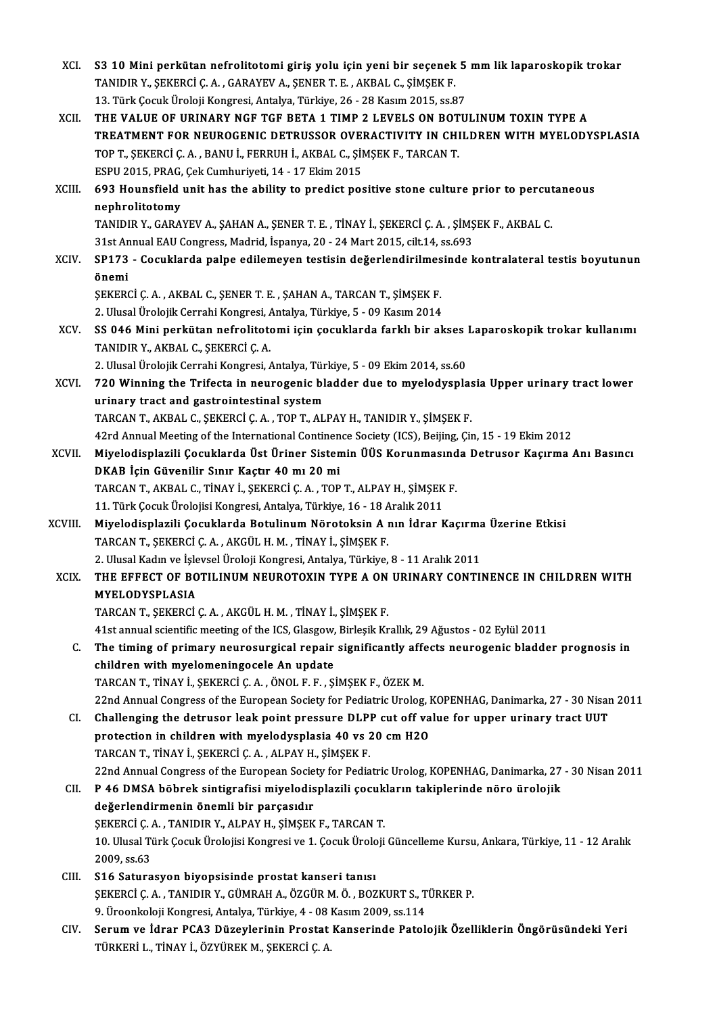| XCI.        | S3 10 Mini perkütan nefrolitotomi giriş yolu için yeni bir seçenek 5 mm lik laparoskopik trokar                                                                                                    |
|-------------|----------------------------------------------------------------------------------------------------------------------------------------------------------------------------------------------------|
|             | TANIDIR Y., ŞEKERCİ Ç. A., GARAYEV A., ŞENER T. E., AKBAL C., ŞİMŞEK F.                                                                                                                            |
|             | 13. Türk Çocuk Üroloji Kongresi, Antalya, Türkiye, 26 - 28 Kasım 2015, ss.87                                                                                                                       |
| XCII.       | THE VALUE OF URINARY NGF TGF BETA 1 TIMP 2 LEVELS ON BOTULINUM TOXIN TYPE A                                                                                                                        |
|             | TREATMENT FOR NEUROGENIC DETRUSSOR OVERACTIVITY IN CHILDREN WITH MYELODYSPLASIA                                                                                                                    |
|             | TOP T., ȘEKERCI Ç. A., BANU İ., FERRUH İ., AKBAL C., ŞİMŞEK F., TARCAN T.                                                                                                                          |
|             | ESPU 2015, PRAG, Çek Cumhuriyeti, 14 - 17 Ekim 2015                                                                                                                                                |
| XCIII.      | 693 Hounsfield unit has the ability to predict positive stone culture prior to percutaneous                                                                                                        |
|             | nephrolitotomy                                                                                                                                                                                     |
|             | TANIDIR Y., GARAYEV A., ŞAHAN A., ŞENER T. E., TİNAY İ., ŞEKERCİ Ç. A., ŞİMŞEK F., AKBAL C.                                                                                                        |
|             | 31st Annual EAU Congress, Madrid, İspanya, 20 - 24 Mart 2015, cilt 14, ss.693                                                                                                                      |
| XCIV.       | SP173 - Cocuklarda palpe edilemeyen testisin değerlendirilmesinde kontralateral testis boyutunun                                                                                                   |
|             | önemi                                                                                                                                                                                              |
|             | ŞEKERCİ Ç. A., AKBAL C., ŞENER T. E., ŞAHAN A., TARCAN T., ŞİMŞEK F.                                                                                                                               |
|             | 2. Ulusal Ürolojik Cerrahi Kongresi, Antalya, Türkiye, 5 - 09 Kasım 2014                                                                                                                           |
| XCV.        | SS 046 Mini perkütan nefrolitotomi için çocuklarda farklı bir akses Laparoskopik trokar kullanımı                                                                                                  |
|             | TANIDIR Y., AKBAL C., ŞEKERCİ Ç. A.                                                                                                                                                                |
|             | 2. Ulusal Ürolojik Cerrahi Kongresi, Antalya, Türkiye, 5 - 09 Ekim 2014, ss.60                                                                                                                     |
| XCVI.       | 720 Winning the Trifecta in neurogenic bladder due to myelodysplasia Upper urinary tract lower                                                                                                     |
|             | urinary tract and gastrointestinal system                                                                                                                                                          |
|             | TARCAN T., AKBAL C., ŞEKERCİ Ç. A., TOP T., ALPAY H., TANIDIR Y., ŞİMŞEK F.                                                                                                                        |
|             | 42rd Annual Meeting of the International Continence Society (ICS), Beijing, Çin, 15 - 19 Ekim 2012                                                                                                 |
| XCVII.      | Miyelodisplazili Çocuklarda Üst Üriner Sistemin ÜÜS Korunmasında Detrusor Kaçırma Anı Basıncı                                                                                                      |
|             | DKAB İçin Güvenilir Sınır Kaçtır 40 mı 20 mi                                                                                                                                                       |
|             | TARCAN T., AKBAL C., TİNAY İ., ŞEKERCİ Ç. A., TOP T., ALPAY H., ŞİMŞEK F.                                                                                                                          |
|             | 11. Türk Çocuk Ürolojisi Kongresi, Antalya, Türkiye, 16 - 18 Aralık 2011                                                                                                                           |
| XCVIII.     | Miyelodisplazili Çocuklarda Botulinum Nörotoksin A nın İdrar Kaçırma Üzerine Etkisi                                                                                                                |
|             | TARCAN T., ŞEKERCİ Ç. A., AKGÜL H. M., TİNAY İ., ŞİMŞEK F.                                                                                                                                         |
|             | 2. Ulusal Kadın ve İşlevsel Üroloji Kongresi, Antalya, Türkiye, 8 - 11 Aralık 2011                                                                                                                 |
| <b>XCIX</b> | THE EFFECT OF BOTILINUM NEUROTOXIN TYPE A ON URINARY CONTINENCE IN CHILDREN WITH                                                                                                                   |
|             | MYELODYSPLASIA                                                                                                                                                                                     |
|             | TARCAN T., ŞEKERCİ Ç. A., AKGÜL H. M., TİNAY İ., ŞİMŞEK F.                                                                                                                                         |
|             | 41st annual scientific meeting of the ICS, Glasgow, Birleşik Krallık, 29 Ağustos - 02 Eylül 2011                                                                                                   |
| C.          | The timing of primary neurosurgical repair significantly affects neurogenic bladder prognosis in                                                                                                   |
|             | children with myelomeningocele An update                                                                                                                                                           |
|             | TARCAN T., TİNAY İ., ŞEKERCİ Ç. A., ÖNOL F. F., ŞİMŞEK F., ÖZEK M.                                                                                                                                 |
|             | 22nd Annual Congress of the European Society for Pediatric Urolog, KOPENHAG, Danimarka, 27 - 30 Nisan 2011                                                                                         |
| CI.         | Challenging the detrusor leak point pressure DLPP cut off value for upper urinary tract UUT                                                                                                        |
|             | protection in children with myelodysplasia 40 vs 20 cm H2O                                                                                                                                         |
|             | TARCAN T., TİNAY İ., ŞEKERCİ Ç. A., ALPAY H., ŞİMŞEK F.                                                                                                                                            |
| CII.        | 22nd Annual Congress of the European Society for Pediatric Urolog, KOPENHAG, Danimarka, 27 - 30 Nisan 2011<br>P 46 DMSA böbrek sintigrafisi miyelodisplazili çocukların takiplerinde nöro ürolojik |
|             | değerlendirmenin önemli bir parçasıdır                                                                                                                                                             |
|             | ŞEKERCİ Ç. A., TANIDIR Y., ALPAY H., ŞİMŞEK F., TARCAN T.                                                                                                                                          |
|             | 10. Ulusal Türk Çocuk Ürolojisi Kongresi ve 1. Çocuk Üroloji Güncelleme Kursu, Ankara, Türkiye, 11 - 12 Aralık                                                                                     |
|             | 2009, ss 63                                                                                                                                                                                        |
| CIII.       | S16 Saturasyon biyopsisinde prostat kanseri tanısı                                                                                                                                                 |
|             | ŞEKERCİ Ç. A., TANIDIR Y., GÜMRAH A., ÖZGÜR M. Ö., BOZKURT S., TÜRKER P.                                                                                                                           |
|             | 9. Üroonkoloji Kongresi, Antalya, Türkiye, 4 - 08 Kasım 2009, ss.114                                                                                                                               |
| CIV.        | Serum ve İdrar PCA3 Düzeylerinin Prostat Kanserinde Patolojik Özelliklerin Öngörüsündeki Yeri                                                                                                      |
|             | TÜRKERİ L., TİNAY İ., ÖZYÜREK M., ŞEKERCİ Ç. A.                                                                                                                                                    |